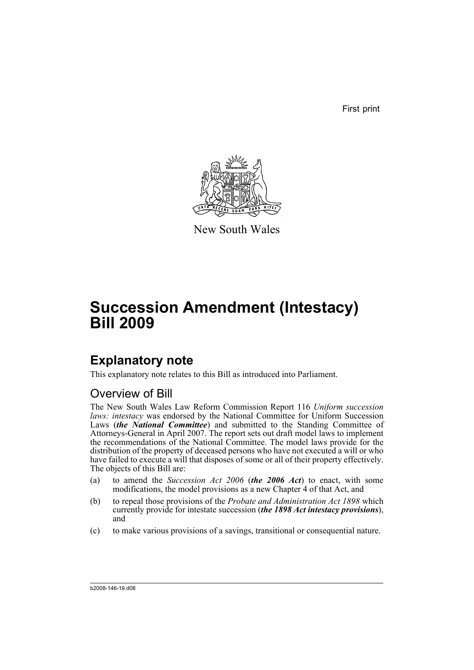First print



New South Wales

# **Succession Amendment (Intestacy) Bill 2009**

# **Explanatory note**

This explanatory note relates to this Bill as introduced into Parliament.

# Overview of Bill

The New South Wales Law Reform Commission Report 116 *Uniform succession laws: intestacy* was endorsed by the National Committee for Uniform Succession Laws (*the National Committee*) and submitted to the Standing Committee of Attorneys-General in April 2007. The report sets out draft model laws to implement the recommendations of the National Committee. The model laws provide for the distribution of the property of deceased persons who have not executed a will or who have failed to execute a will that disposes of some or all of their property effectively. The objects of this Bill are:

- (a) to amend the *Succession Act 2006* (*the 2006 Act*) to enact, with some modifications, the model provisions as a new Chapter 4 of that Act, and
- (b) to repeal those provisions of the *Probate and Administration Act 1898* which currently provide for intestate succession (*the 1898 Act intestacy provisions*), and
- (c) to make various provisions of a savings, transitional or consequential nature.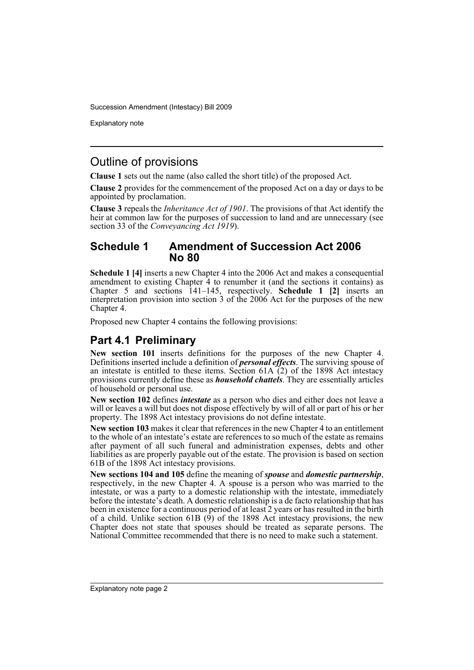Explanatory note

## Outline of provisions

**Clause 1** sets out the name (also called the short title) of the proposed Act.

**Clause 2** provides for the commencement of the proposed Act on a day or days to be appointed by proclamation.

**Clause 3** repeals the *Inheritance Act of 1901*. The provisions of that Act identify the heir at common law for the purposes of succession to land and are unnecessary (see section 33 of the *Conveyancing Act 1919*).

### **Schedule 1 Amendment of Succession Act 2006 No 80**

**Schedule 1 [4]** inserts a new Chapter 4 into the 2006 Act and makes a consequential amendment to existing Chapter 4 to renumber it (and the sections it contains) as Chapter 5 and sections 141–145, respectively. **Schedule 1 [2]** inserts an interpretation provision into section 3 of the 2006 Act for the purposes of the new Chapter 4.

Proposed new Chapter 4 contains the following provisions:

# **Part 4.1 Preliminary**

**New section 101** inserts definitions for the purposes of the new Chapter 4. Definitions inserted include a definition of *personal effects*. The surviving spouse of an intestate is entitled to these items. Section  $61A(2)$  of the 1898 Act intestacy provisions currently define these as *household chattels*. They are essentially articles of household or personal use.

**New section 102** defines *intestate* as a person who dies and either does not leave a will or leaves a will but does not dispose effectively by will of all or part of his or her property. The 1898 Act intestacy provisions do not define intestate.

**New section 103** makes it clear that references in the new Chapter 4 to an entitlement to the whole of an intestate's estate are references to so much of the estate as remains after payment of all such funeral and administration expenses, debts and other liabilities as are properly payable out of the estate. The provision is based on section 61B of the 1898 Act intestacy provisions.

**New sections 104 and 105** define the meaning of *spouse* and *domestic partnership*, respectively, in the new Chapter 4. A spouse is a person who was married to the intestate, or was a party to a domestic relationship with the intestate, immediately before the intestate's death. A domestic relationship is a de facto relationship that has been in existence for a continuous period of at least 2 years or has resulted in the birth of a child. Unlike section 61B  $(\dot{9})$  of the 1898 Act intestacy provisions, the new Chapter does not state that spouses should be treated as separate persons. The National Committee recommended that there is no need to make such a statement.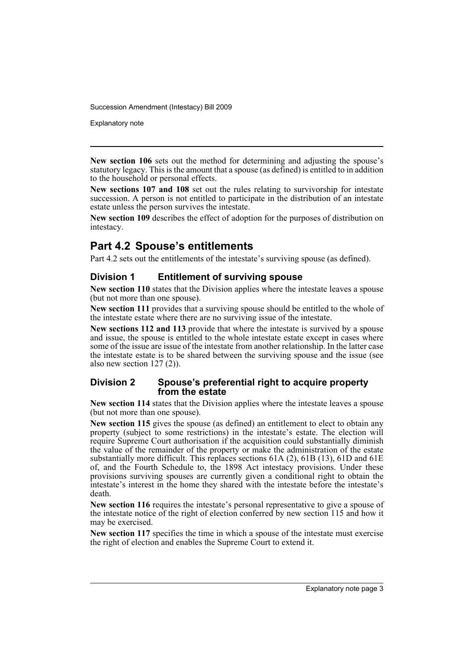Explanatory note

**New section 106** sets out the method for determining and adjusting the spouse's statutory legacy. This is the amount that a spouse (as defined) is entitled to in addition to the household or personal effects.

**New sections 107 and 108** set out the rules relating to survivorship for intestate succession. A person is not entitled to participate in the distribution of an intestate estate unless the person survives the intestate.

**New section 109** describes the effect of adoption for the purposes of distribution on intestacy.

# **Part 4.2 Spouse's entitlements**

Part 4.2 sets out the entitlements of the intestate's surviving spouse (as defined).

### **Division 1 Entitlement of surviving spouse**

**New section 110** states that the Division applies where the intestate leaves a spouse (but not more than one spouse).

**New section 111** provides that a surviving spouse should be entitled to the whole of the intestate estate where there are no surviving issue of the intestate.

**New sections 112 and 113** provide that where the intestate is survived by a spouse and issue, the spouse is entitled to the whole intestate estate except in cases where some of the issue are issue of the intestate from another relationship. In the latter case the intestate estate is to be shared between the surviving spouse and the issue (see also new section 127 (2)).

#### **Division 2 Spouse's preferential right to acquire property from the estate**

**New section 114** states that the Division applies where the intestate leaves a spouse (but not more than one spouse).

**New section 115** gives the spouse (as defined) an entitlement to elect to obtain any property (subject to some restrictions) in the intestate's estate. The election will require Supreme Court authorisation if the acquisition could substantially diminish the value of the remainder of the property or make the administration of the estate substantially more difficult. This replaces sections 61A (2), 61B (13), 61D and 61E of, and the Fourth Schedule to, the 1898 Act intestacy provisions. Under these provisions surviving spouses are currently given a conditional right to obtain the intestate's interest in the home they shared with the intestate before the intestate's death.

**New section 116** requires the intestate's personal representative to give a spouse of the intestate notice of the right of election conferred by new section 115 and how it may be exercised.

**New section 117** specifies the time in which a spouse of the intestate must exercise the right of election and enables the Supreme Court to extend it.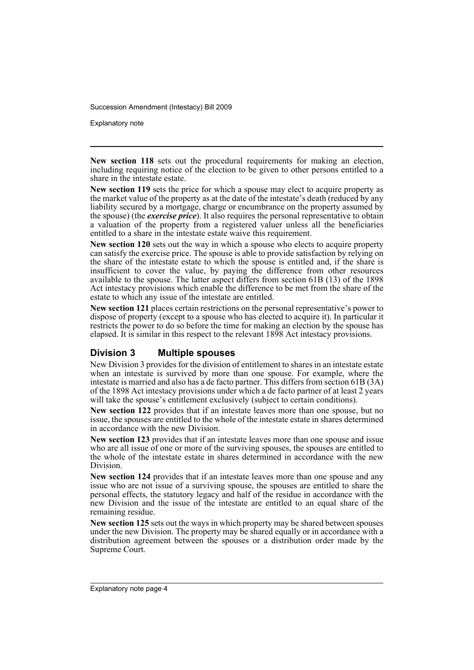Explanatory note

**New section 118** sets out the procedural requirements for making an election, including requiring notice of the election to be given to other persons entitled to a share in the intestate estate.

**New section 119** sets the price for which a spouse may elect to acquire property as the market value of the property as at the date of the intestate's death (reduced by any liability secured by a mortgage, charge or encumbrance on the property assumed by the spouse) (the *exercise price*). It also requires the personal representative to obtain a valuation of the property from a registered valuer unless all the beneficiaries entitled to a share in the intestate estate waive this requirement.

**New section 120** sets out the way in which a spouse who elects to acquire property can satisfy the exercise price. The spouse is able to provide satisfaction by relying on the share of the intestate estate to which the spouse is entitled and, if the share is insufficient to cover the value, by paying the difference from other resources available to the spouse. The latter aspect differs from section 61B (13) of the 1898 Act intestacy provisions which enable the difference to be met from the share of the estate to which any issue of the intestate are entitled.

**New section 121** places certain restrictions on the personal representative's power to dispose of property (except to a spouse who has elected to acquire it). In particular it restricts the power to do so before the time for making an election by the spouse has elapsed. It is similar in this respect to the relevant 1898 Act intestacy provisions.

#### **Division 3 Multiple spouses**

New Division 3 provides for the division of entitlement to shares in an intestate estate when an intestate is survived by more than one spouse. For example, where the intestate is married and also has a de facto partner. This differs from section 61B (3A) of the 1898 Act intestacy provisions under which a de facto partner of at least 2 years will take the spouse's entitlement exclusively (subject to certain conditions).

**New section 122** provides that if an intestate leaves more than one spouse, but no issue, the spouses are entitled to the whole of the intestate estate in shares determined in accordance with the new Division.

**New section 123** provides that if an intestate leaves more than one spouse and issue who are all issue of one or more of the surviving spouses, the spouses are entitled to the whole of the intestate estate in shares determined in accordance with the new Division.

**New section 124** provides that if an intestate leaves more than one spouse and any issue who are not issue of a surviving spouse, the spouses are entitled to share the personal effects, the statutory legacy and half of the residue in accordance with the new Division and the issue of the intestate are entitled to an equal share of the remaining residue.

**New section 125** sets out the ways in which property may be shared between spouses under the new Division. The property may be shared equally or in accordance with a distribution agreement between the spouses or a distribution order made by the Supreme Court.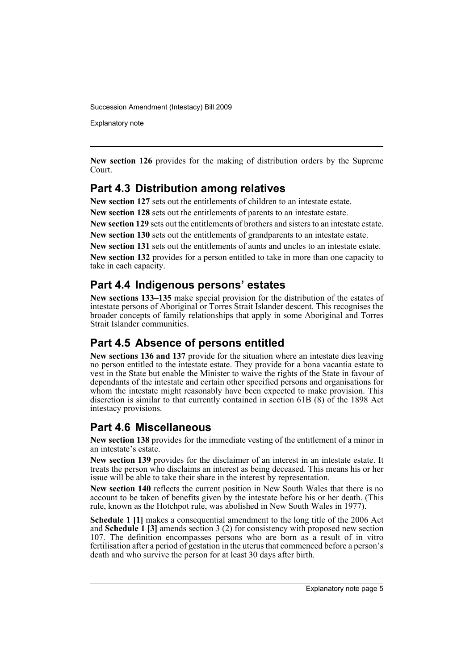Explanatory note

**New section 126** provides for the making of distribution orders by the Supreme Court.

## **Part 4.3 Distribution among relatives**

**New section 127** sets out the entitlements of children to an intestate estate.

**New section 128** sets out the entitlements of parents to an intestate estate.

**New section 129** sets out the entitlements of brothers and sisters to an intestate estate.

**New section 130** sets out the entitlements of grandparents to an intestate estate.

**New section 131** sets out the entitlements of aunts and uncles to an intestate estate.

**New section 132** provides for a person entitled to take in more than one capacity to take in each capacity.

## **Part 4.4 Indigenous persons' estates**

**New sections 133–135** make special provision for the distribution of the estates of intestate persons of Aboriginal or Torres Strait Islander descent. This recognises the broader concepts of family relationships that apply in some Aboriginal and Torres Strait Islander communities.

## **Part 4.5 Absence of persons entitled**

**New sections 136 and 137** provide for the situation where an intestate dies leaving no person entitled to the intestate estate. They provide for a bona vacantia estate to vest in the State but enable the Minister to waive the rights of the State in favour of dependants of the intestate and certain other specified persons and organisations for whom the intestate might reasonably have been expected to make provision. This discretion is similar to that currently contained in section 61B (8) of the 1898 Act intestacy provisions.

## **Part 4.6 Miscellaneous**

**New section 138** provides for the immediate vesting of the entitlement of a minor in an intestate's estate.

**New section 139** provides for the disclaimer of an interest in an intestate estate. It treats the person who disclaims an interest as being deceased. This means his or her issue will be able to take their share in the interest by representation.

**New section 140** reflects the current position in New South Wales that there is no account to be taken of benefits given by the intestate before his or her death. (This rule, known as the Hotchpot rule, was abolished in New South Wales in 1977).

**Schedule 1 [1]** makes a consequential amendment to the long title of the 2006 Act and **Schedule 1 [3]** amends section 3 (2) for consistency with proposed new section 107. The definition encompasses persons who are born as a result of in vitro fertilisation after a period of gestation in the uterus that commenced before a person's death and who survive the person for at least 30 days after birth.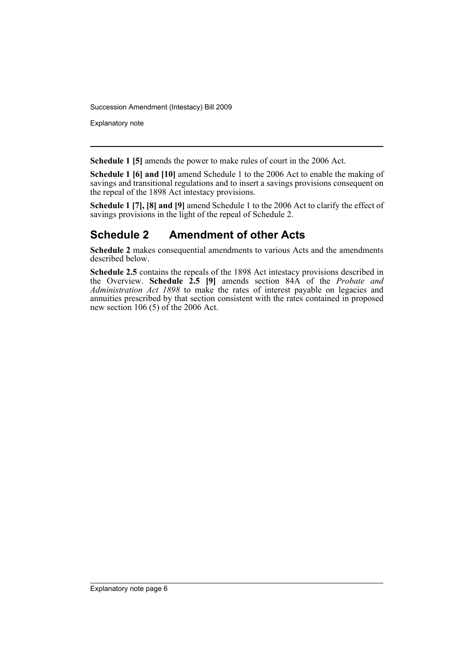Explanatory note

**Schedule 1 [5]** amends the power to make rules of court in the 2006 Act.

**Schedule 1 [6] and [10]** amend Schedule 1 to the 2006 Act to enable the making of savings and transitional regulations and to insert a savings provisions consequent on the repeal of the 1898 Act intestacy provisions.

**Schedule 1 [7], [8] and [9]** amend Schedule 1 to the 2006 Act to clarify the effect of savings provisions in the light of the repeal of Schedule 2.

# **Schedule 2 Amendment of other Acts**

**Schedule 2** makes consequential amendments to various Acts and the amendments described below.

**Schedule 2.5** contains the repeals of the 1898 Act intestacy provisions described in the Overview. **Schedule 2.5 [9]** amends section 84A of the *Probate and Administration Act 1898* to make the rates of interest payable on legacies and annuities prescribed by that section consistent with the rates contained in proposed new section 106 (5) of the 2006 Act.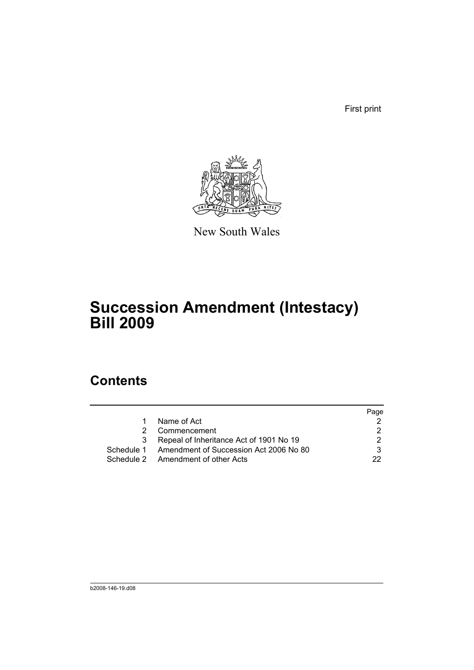First print



New South Wales

# **Succession Amendment (Intestacy) Bill 2009**

# **Contents**

|   |                                                   | Page |
|---|---------------------------------------------------|------|
| 1 | Name of Act                                       |      |
|   | Commencement                                      |      |
| 3 | Repeal of Inheritance Act of 1901 No 19           |      |
|   | Schedule 1 Amendment of Succession Act 2006 No 80 |      |
|   | Schedule 2 Amendment of other Acts                | つつ   |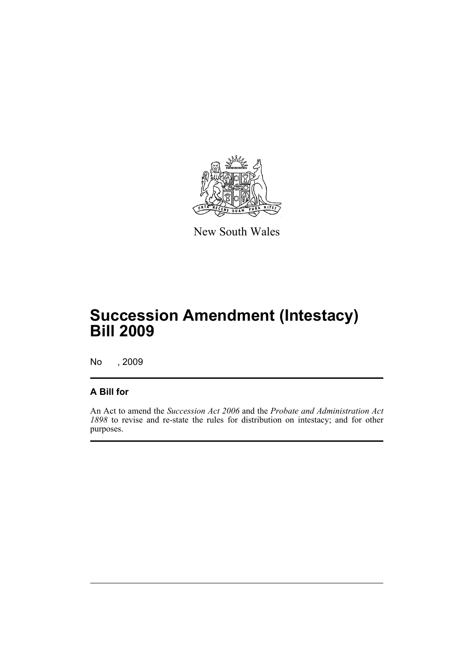

New South Wales

# **Succession Amendment (Intestacy) Bill 2009**

No , 2009

## **A Bill for**

An Act to amend the *Succession Act 2006* and the *Probate and Administration Act 1898* to revise and re-state the rules for distribution on intestacy; and for other purposes.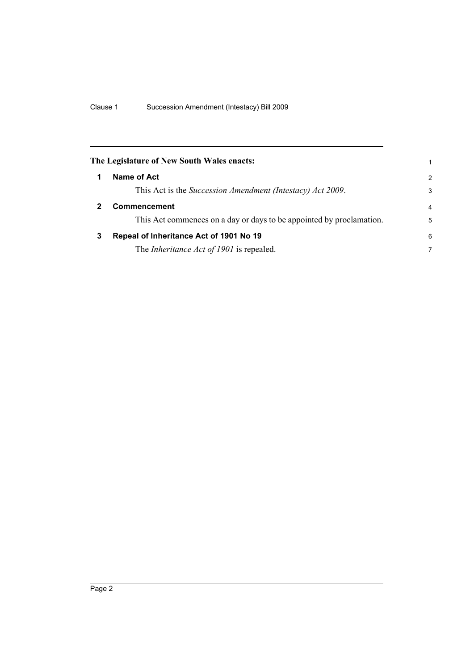<span id="page-9-2"></span><span id="page-9-1"></span><span id="page-9-0"></span>

|   | The Legislature of New South Wales enacts:<br>1                      |                         |  |  |  |  |
|---|----------------------------------------------------------------------|-------------------------|--|--|--|--|
|   | Name of Act                                                          | $\mathcal{P}$           |  |  |  |  |
|   | This Act is the Succession Amendment (Intestacy) Act 2009.           | 3                       |  |  |  |  |
|   | <b>Commencement</b>                                                  | $\overline{\mathbf{4}}$ |  |  |  |  |
|   | This Act commences on a day or days to be appointed by proclamation. | 5                       |  |  |  |  |
| 3 | Repeal of Inheritance Act of 1901 No 19                              | 6                       |  |  |  |  |
|   | The <i>Inheritance Act of 1901</i> is repealed.                      | 7                       |  |  |  |  |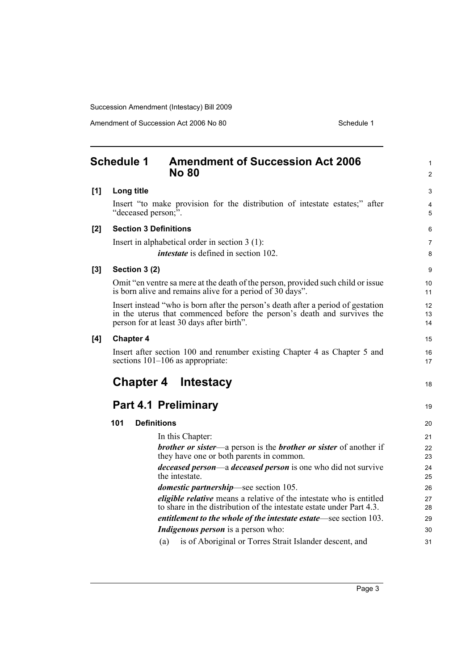<span id="page-10-0"></span>

|       | <b>Schedule 1</b><br><b>Amendment of Succession Act 2006</b><br><b>No 80</b>                                                                                                                             | 1<br>$\overline{c}$ |
|-------|----------------------------------------------------------------------------------------------------------------------------------------------------------------------------------------------------------|---------------------|
| [1]   | Long title                                                                                                                                                                                               | 3                   |
|       | Insert "to make provision for the distribution of intestate estates;" after<br>"deceased person;".                                                                                                       | 4<br>5              |
| [2]   | <b>Section 3 Definitions</b>                                                                                                                                                                             | 6                   |
|       | Insert in alphabetical order in section $3(1)$ :<br><i>intestate</i> is defined in section 102.                                                                                                          | 7<br>8              |
| $[3]$ | Section 3 (2)                                                                                                                                                                                            | 9                   |
|       | Omit "en ventre sa mere at the death of the person, provided such child or issue<br>is born alive and remains alive for a period of 30 days".                                                            | 10<br>11            |
|       | Insert instead "who is born after the person's death after a period of gestation<br>in the uterus that commenced before the person's death and survives the<br>person for at least 30 days after birth". | 12<br>13<br>14      |
| [4]   | <b>Chapter 4</b>                                                                                                                                                                                         | 15                  |
|       | Insert after section 100 and renumber existing Chapter 4 as Chapter 5 and<br>sections $101-106$ as appropriate:                                                                                          | 16<br>17            |
|       | <b>Chapter 4 Intestacy</b>                                                                                                                                                                               | 18                  |
|       | <b>Part 4.1 Preliminary</b>                                                                                                                                                                              | 19                  |
|       | <b>Definitions</b><br>101                                                                                                                                                                                | 20                  |
|       | In this Chapter:                                                                                                                                                                                         | 21                  |
|       | <b>brother or sister—a person is the brother or sister of another if</b><br>they have one or both parents in common.                                                                                     | 22<br>23            |
|       | <i>deceased person—a deceased person</i> is one who did not survive<br>the intestate.                                                                                                                    | 24<br>25            |
|       | <i>domestic partnership</i> —see section 105.                                                                                                                                                            | 26                  |
|       | eligible relative means a relative of the intestate who is entitled                                                                                                                                      | 27                  |
|       |                                                                                                                                                                                                          |                     |
|       | to share in the distribution of the intestate estate under Part 4.3.                                                                                                                                     | 28<br>29            |
|       | entitlement to the whole of the intestate estate—see section 103.<br><i>Indigenous person</i> is a person who:                                                                                           | 30                  |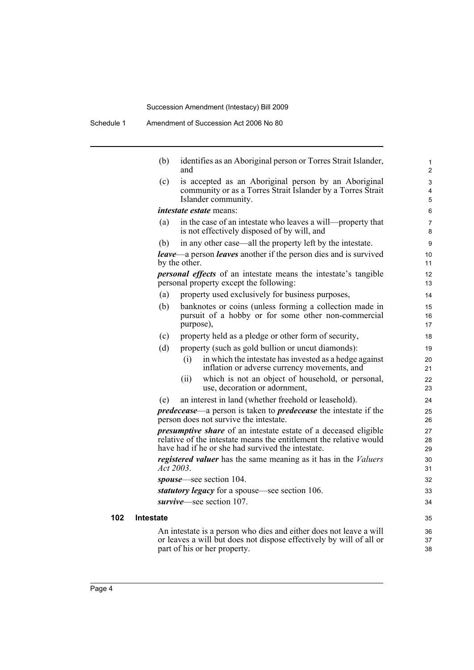|     | (b)              | identifies as an Aboriginal person or Torres Strait Islander,<br>and                                                                                                                              | 1<br>$\overline{c}$ |
|-----|------------------|---------------------------------------------------------------------------------------------------------------------------------------------------------------------------------------------------|---------------------|
|     | (c)              | is accepted as an Aboriginal person by an Aboriginal<br>community or as a Torres Strait Islander by a Torres Strait<br>Islander community.                                                        | 3<br>4<br>5         |
|     |                  | <i>intestate estate</i> means:                                                                                                                                                                    | 6                   |
|     | (a)              | in the case of an intestate who leaves a will-property that<br>is not effectively disposed of by will, and                                                                                        | 7<br>8              |
|     | (b)              | in any other case—all the property left by the intestate.                                                                                                                                         | 9                   |
|     |                  | <b>leave—a</b> person <b>leaves</b> another if the person dies and is survived<br>by the other.                                                                                                   | 10<br>11            |
|     |                  | <i>personal effects</i> of an intestate means the intestate's tangible<br>personal property except the following:                                                                                 | 12<br>13            |
|     | (a)              | property used exclusively for business purposes,                                                                                                                                                  | 14                  |
|     | (b)              | banknotes or coins (unless forming a collection made in<br>pursuit of a hobby or for some other non-commercial<br>purpose),                                                                       | 15<br>16<br>17      |
|     | (c)              | property held as a pledge or other form of security,                                                                                                                                              | 18                  |
|     | (d)              | property (such as gold bullion or uncut diamonds):                                                                                                                                                | 19                  |
|     |                  | in which the intestate has invested as a hedge against<br>(i)<br>inflation or adverse currency movements, and                                                                                     | 20<br>21            |
|     |                  | which is not an object of household, or personal,<br>(i)<br>use, decoration or adornment,                                                                                                         | 22<br>23            |
|     | (e)              | an interest in land (whether freehold or leasehold).                                                                                                                                              | 24                  |
|     |                  | <i>predecease</i> —a person is taken to <i>predecease</i> the intestate if the<br>person does not survive the intestate.                                                                          | 25<br>26            |
|     |                  | <i>presumptive share</i> of an intestate estate of a deceased eligible<br>relative of the intestate means the entitlement the relative would<br>have had if he or she had survived the intestate. | 27<br>28<br>29      |
|     |                  | <i>registered valuer</i> has the same meaning as it has in the <i>Valuers</i><br>Act 2003.                                                                                                        | 30<br>31            |
|     |                  | spouse—see section 104.                                                                                                                                                                           | 32                  |
|     |                  | statutory legacy for a spouse—see section 106.                                                                                                                                                    | 33                  |
|     |                  | survive—see section 107.                                                                                                                                                                          | 34                  |
| 102 | <b>Intestate</b> |                                                                                                                                                                                                   | 35                  |
|     |                  | An intestate is a person who dies and either does not leave a will<br>or leaves a will but does not dispose effectively by will of all or<br>part of his or her property.                         | 36<br>37<br>38      |
|     |                  |                                                                                                                                                                                                   |                     |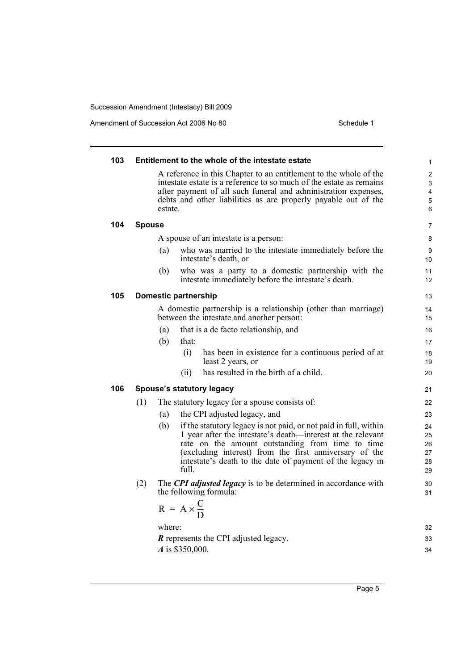| 103 |               | Entitlement to the whole of the intestate estate                                                                                                                                                                                                                                                                    | 1                                                                                         |
|-----|---------------|---------------------------------------------------------------------------------------------------------------------------------------------------------------------------------------------------------------------------------------------------------------------------------------------------------------------|-------------------------------------------------------------------------------------------|
|     |               | A reference in this Chapter to an entitlement to the whole of the<br>intestate estate is a reference to so much of the estate as remains<br>after payment of all such funeral and administration expenses,<br>debts and other liabilities as are properly payable out of the<br>estate.                             | $\overline{\mathbf{c}}$<br>$\ensuremath{\mathsf{3}}$<br>$\overline{\mathbf{4}}$<br>5<br>6 |
| 104 | <b>Spouse</b> |                                                                                                                                                                                                                                                                                                                     | $\overline{7}$                                                                            |
|     |               | A spouse of an intestate is a person:                                                                                                                                                                                                                                                                               | 8                                                                                         |
|     | (a)           | who was married to the intestate immediately before the<br>intestate's death, or                                                                                                                                                                                                                                    | 9<br>10                                                                                   |
|     | (b)           | who was a party to a domestic partnership with the<br>intestate immediately before the intestate's death.                                                                                                                                                                                                           | 11<br>12                                                                                  |
| 105 |               | <b>Domestic partnership</b>                                                                                                                                                                                                                                                                                         | 13                                                                                        |
|     |               | A domestic partnership is a relationship (other than marriage)<br>between the intestate and another person:                                                                                                                                                                                                         | 14<br>15                                                                                  |
|     | (a)           | that is a de facto relationship, and                                                                                                                                                                                                                                                                                | 16                                                                                        |
|     | (b)           | that:                                                                                                                                                                                                                                                                                                               | 17                                                                                        |
|     |               | (i)<br>has been in existence for a continuous period of at<br>least 2 years, or                                                                                                                                                                                                                                     | 18<br>19                                                                                  |
|     |               | has resulted in the birth of a child.<br>(i)                                                                                                                                                                                                                                                                        | 20                                                                                        |
| 106 |               | Spouse's statutory legacy                                                                                                                                                                                                                                                                                           | 21                                                                                        |
|     | (1)           | The statutory legacy for a spouse consists of:                                                                                                                                                                                                                                                                      | 22                                                                                        |
|     | (a)           | the CPI adjusted legacy, and                                                                                                                                                                                                                                                                                        | 23                                                                                        |
|     | (b)           | if the statutory legacy is not paid, or not paid in full, within<br>1 year after the intestate's death—interest at the relevant<br>rate on the amount outstanding from time to time<br>(excluding interest) from the first anniversary of the<br>intestate's death to the date of payment of the legacy in<br>full. | 24<br>25<br>26<br>27<br>28<br>29                                                          |
|     | (2)           | The <b>CPI</b> adjusted legacy is to be determined in accordance with<br>the following formula:                                                                                                                                                                                                                     | 30<br>31                                                                                  |
|     |               | $R = A \times \frac{C}{D}$                                                                                                                                                                                                                                                                                          |                                                                                           |
|     |               | where:                                                                                                                                                                                                                                                                                                              | 32                                                                                        |
|     |               | <b>R</b> represents the CPI adjusted legacy.                                                                                                                                                                                                                                                                        | 33                                                                                        |
|     |               | A is \$350,000.                                                                                                                                                                                                                                                                                                     | 34                                                                                        |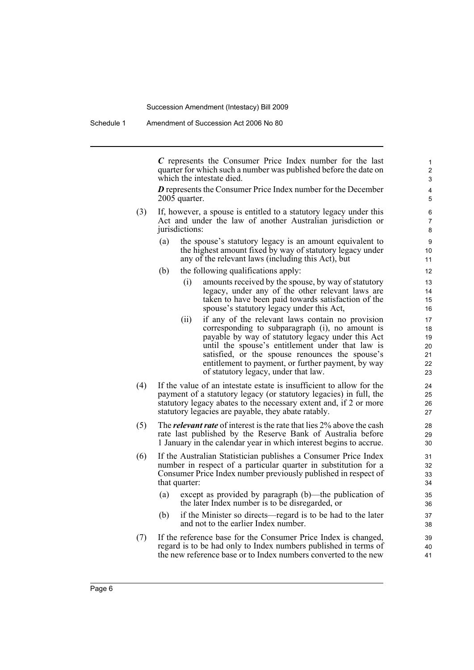*C* represents the Consumer Price Index number for the last quarter for which such a number was published before the date on which the intestate died.

*D* represents the Consumer Price Index number for the December 2005 quarter.

- (3) If, however, a spouse is entitled to a statutory legacy under this Act and under the law of another Australian jurisdiction or jurisdictions:
	- (a) the spouse's statutory legacy is an amount equivalent to the highest amount fixed by way of statutory legacy under any of the relevant laws (including this Act), but
	- (b) the following qualifications apply:
		- (i) amounts received by the spouse, by way of statutory legacy, under any of the other relevant laws are taken to have been paid towards satisfaction of the spouse's statutory legacy under this Act,
		- (ii) if any of the relevant laws contain no provision corresponding to subparagraph (i), no amount is payable by way of statutory legacy under this Act until the spouse's entitlement under that law is satisfied, or the spouse renounces the spouse's entitlement to payment, or further payment, by way of statutory legacy, under that law.
- (4) If the value of an intestate estate is insufficient to allow for the payment of a statutory legacy (or statutory legacies) in full, the statutory legacy abates to the necessary extent and, if 2 or more statutory legacies are payable, they abate ratably.
- (5) The *relevant rate* of interest is the rate that lies 2% above the cash rate last published by the Reserve Bank of Australia before 1 January in the calendar year in which interest begins to accrue.
- (6) If the Australian Statistician publishes a Consumer Price Index number in respect of a particular quarter in substitution for a Consumer Price Index number previously published in respect of that quarter:
	- (a) except as provided by paragraph (b)—the publication of the later Index number is to be disregarded, or
	- (b) if the Minister so directs—regard is to be had to the later and not to the earlier Index number.
- (7) If the reference base for the Consumer Price Index is changed, regard is to be had only to Index numbers published in terms of the new reference base or to Index numbers converted to the new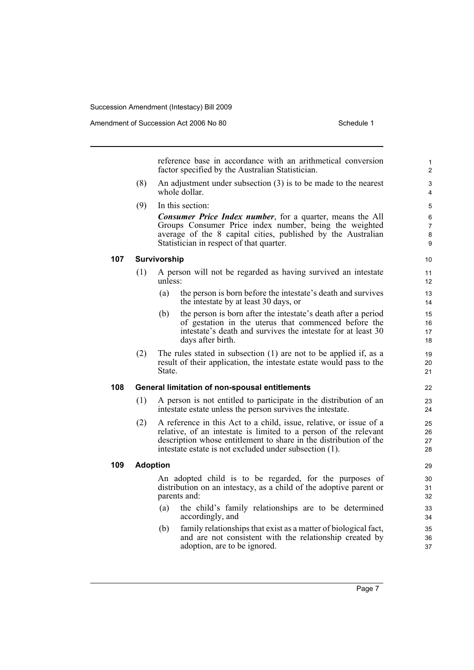reference base in accordance with an arithmetical conversion factor specified by the Australian Statistician. (8) An adjustment under subsection (3) is to be made to the nearest whole dollar. (9) In this section: *Consumer Price Index number*, for a quarter, means the All Groups Consumer Price index number, being the weighted average of the 8 capital cities, published by the Australian Statistician in respect of that quarter. **107 Survivorship** (1) A person will not be regarded as having survived an intestate unless: (a) the person is born before the intestate's death and survives the intestate by at least 30 days, or (b) the person is born after the intestate's death after a period of gestation in the uterus that commenced before the intestate's death and survives the intestate for at least 30 days after birth. (2) The rules stated in subsection (1) are not to be applied if, as a result of their application, the intestate estate would pass to the State. **108 General limitation of non-spousal entitlements** (1) A person is not entitled to participate in the distribution of an intestate estate unless the person survives the intestate. (2) A reference in this Act to a child, issue, relative, or issue of a relative, of an intestate is limited to a person of the relevant description whose entitlement to share in the distribution of the intestate estate is not excluded under subsection (1). **109 Adoption** An adopted child is to be regarded, for the purposes of distribution on an intestacy, as a child of the adoptive parent or parents and: (a) the child's family relationships are to be determined accordingly, and 1 2 3 4 5 6 7 8 9 10 11 12 13 14 15 16 17 18 19 20 21 22 23 24 25 26 27 28 29 30 31 32 33 34 35

(b) family relationships that exist as a matter of biological fact, and are not consistent with the relationship created by adoption, are to be ignored.

Page 7

36 37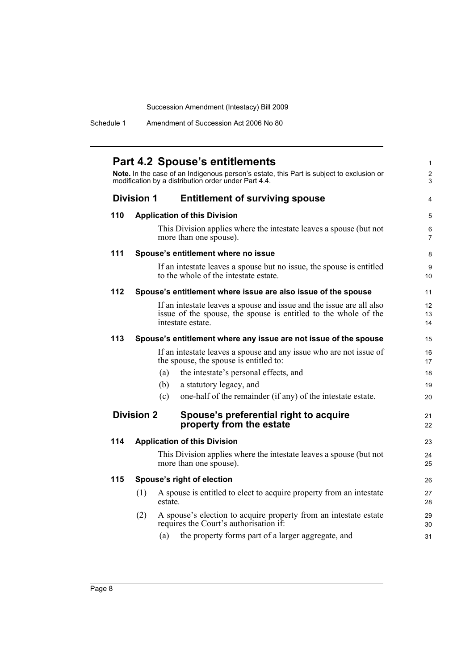Schedule 1 Amendment of Succession Act 2006 No 80

|     |                   | <b>Part 4.2 Spouse's entitlements</b>                                                                                                            |  |
|-----|-------------------|--------------------------------------------------------------------------------------------------------------------------------------------------|--|
|     |                   | Note. In the case of an Indigenous person's estate, this Part is subject to exclusion or<br>modification by a distribution order under Part 4.4. |  |
|     | <b>Division 1</b> | <b>Entitlement of surviving spouse</b>                                                                                                           |  |
| 110 |                   | <b>Application of this Division</b>                                                                                                              |  |
|     |                   | This Division applies where the intestate leaves a spouse (but not<br>more than one spouse).                                                     |  |
| 111 |                   | Spouse's entitlement where no issue                                                                                                              |  |
|     |                   | If an intestate leaves a spouse but no issue, the spouse is entitled<br>to the whole of the intestate estate.                                    |  |
| 112 |                   | Spouse's entitlement where issue are also issue of the spouse                                                                                    |  |
|     |                   | If an intestate leaves a spouse and issue and the issue are all also                                                                             |  |
|     |                   | issue of the spouse, the spouse is entitled to the whole of the<br>intestate estate.                                                             |  |
| 113 |                   | Spouse's entitlement where any issue are not issue of the spouse                                                                                 |  |
|     |                   | If an intestate leaves a spouse and any issue who are not issue of<br>the spouse, the spouse is entitled to:                                     |  |
|     |                   | the intestate's personal effects, and<br>(a)                                                                                                     |  |
|     |                   | (b)<br>a statutory legacy, and                                                                                                                   |  |
|     |                   | one-half of the remainder (if any) of the intestate estate.<br>(c)                                                                               |  |
|     | <b>Division 2</b> | Spouse's preferential right to acquire<br>property from the estate                                                                               |  |
| 114 |                   | <b>Application of this Division</b>                                                                                                              |  |
|     |                   | This Division applies where the intestate leaves a spouse (but not<br>more than one spouse).                                                     |  |
| 115 |                   | Spouse's right of election                                                                                                                       |  |
|     | (1)               | A spouse is entitled to elect to acquire property from an intestate<br>estate.                                                                   |  |
|     | (2)               | A spouse's election to acquire property from an intestate estate<br>requires the Court's authorisation if:                                       |  |
|     |                   | the property forms part of a larger aggregate, and<br>(a)                                                                                        |  |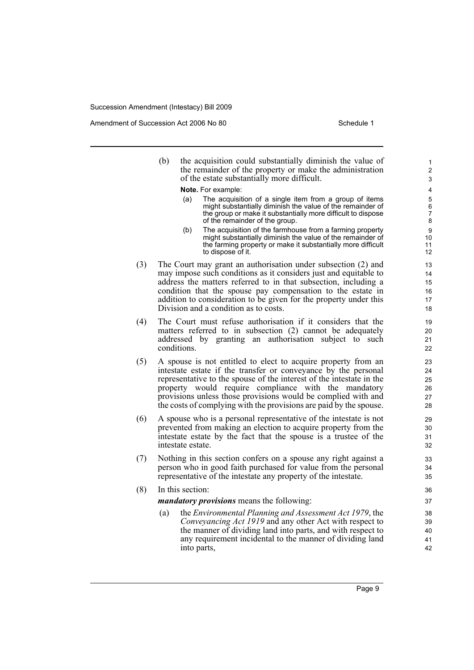Amendment of Succession Act 2006 No 80 Schedule 1

(b) the acquisition could substantially diminish the value of the remainder of the property or make the administration of the estate substantially more difficult.

**Note.** For example:

- (a) The acquisition of a single item from a group of items might substantially diminish the value of the remainder of the group or make it substantially more difficult to dispose of the remainder of the group.
- (b) The acquisition of the farmhouse from a farming property might substantially diminish the value of the remainder of the farming property or make it substantially more difficult to dispose of it.
- (3) The Court may grant an authorisation under subsection (2) and may impose such conditions as it considers just and equitable to address the matters referred to in that subsection, including a condition that the spouse pay compensation to the estate in addition to consideration to be given for the property under this Division and a condition as to costs.
- (4) The Court must refuse authorisation if it considers that the matters referred to in subsection (2) cannot be adequately addressed by granting an authorisation subject to such conditions.
- (5) A spouse is not entitled to elect to acquire property from an intestate estate if the transfer or conveyance by the personal representative to the spouse of the interest of the intestate in the property would require compliance with the mandatory provisions unless those provisions would be complied with and the costs of complying with the provisions are paid by the spouse.
- (6) A spouse who is a personal representative of the intestate is not prevented from making an election to acquire property from the intestate estate by the fact that the spouse is a trustee of the intestate estate.
- (7) Nothing in this section confers on a spouse any right against a person who in good faith purchased for value from the personal representative of the intestate any property of the intestate.
- (8) In this section:

*mandatory provisions* means the following:

(a) the *Environmental Planning and Assessment Act 1979*, the *Conveyancing Act 1919* and any other Act with respect to the manner of dividing land into parts, and with respect to any requirement incidental to the manner of dividing land into parts,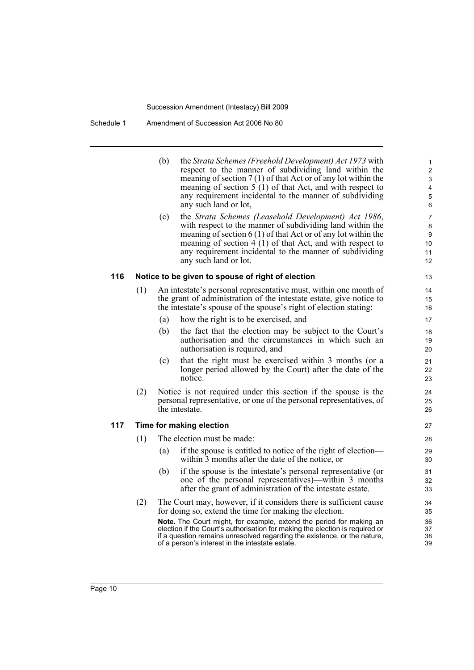|     |     | (b) | the Strata Schemes (Freehold Development) Act 1973 with<br>respect to the manner of subdividing land within the<br>meaning of section $7(1)$ of that Act or of any lot within the<br>meaning of section $5(1)$ of that Act, and with respect to<br>any requirement incidental to the manner of subdividing<br>any such land or lot,   | $\mathbf{1}$<br>$\overline{\mathbf{c}}$<br>3<br>4<br>$\mathbf 5$<br>6 |
|-----|-----|-----|---------------------------------------------------------------------------------------------------------------------------------------------------------------------------------------------------------------------------------------------------------------------------------------------------------------------------------------|-----------------------------------------------------------------------|
|     |     | (c) | the Strata Schemes (Leasehold Development) Act 1986,<br>with respect to the manner of subdividing land within the<br>meaning of section $6(1)$ of that Act or of any lot within the<br>meaning of section $4(1)$ of that Act, and with respect to<br>any requirement incidental to the manner of subdividing<br>any such land or lot. | $\overline{7}$<br>8<br>9<br>10<br>11<br>12                            |
| 116 |     |     | Notice to be given to spouse of right of election                                                                                                                                                                                                                                                                                     | 13                                                                    |
|     | (1) |     | An intestate's personal representative must, within one month of<br>the grant of administration of the intestate estate, give notice to<br>the intestate's spouse of the spouse's right of election stating:                                                                                                                          | 14<br>15<br>16                                                        |
|     |     | (a) | how the right is to be exercised, and                                                                                                                                                                                                                                                                                                 | 17                                                                    |
|     |     | (b) | the fact that the election may be subject to the Court's<br>authorisation and the circumstances in which such an<br>authorisation is required, and                                                                                                                                                                                    | 18<br>19<br>20                                                        |
|     |     | (c) | that the right must be exercised within 3 months (or a<br>longer period allowed by the Court) after the date of the<br>notice.                                                                                                                                                                                                        | 21<br>22<br>23                                                        |
|     | (2) |     | Notice is not required under this section if the spouse is the<br>personal representative, or one of the personal representatives, of<br>the intestate.                                                                                                                                                                               | 24<br>25<br>26                                                        |
| 117 |     |     | Time for making election                                                                                                                                                                                                                                                                                                              | 27                                                                    |
|     | (1) |     | The election must be made:                                                                                                                                                                                                                                                                                                            | 28                                                                    |
|     |     | (a) | if the spouse is entitled to notice of the right of election—<br>within 3 months after the date of the notice, or                                                                                                                                                                                                                     | 29<br>30                                                              |
|     |     | (b) | if the spouse is the intestate's personal representative (or<br>one of the personal representatives)—within 3 months<br>after the grant of administration of the intestate estate.                                                                                                                                                    | 31<br>32<br>33                                                        |
|     | (2) |     | The Court may, however, if it considers there is sufficient cause<br>for doing so, extend the time for making the election.<br>Note. The Court might, for example, extend the period for making an                                                                                                                                    | 34<br>35<br>36                                                        |

37 38 39

**Note.** The Court might, for example, extend the period for making an election if the Court's authorisation for making the election is required or if a question remains unresolved regarding the existence, or the nature, of a person's interest in the intestate estate.

**117**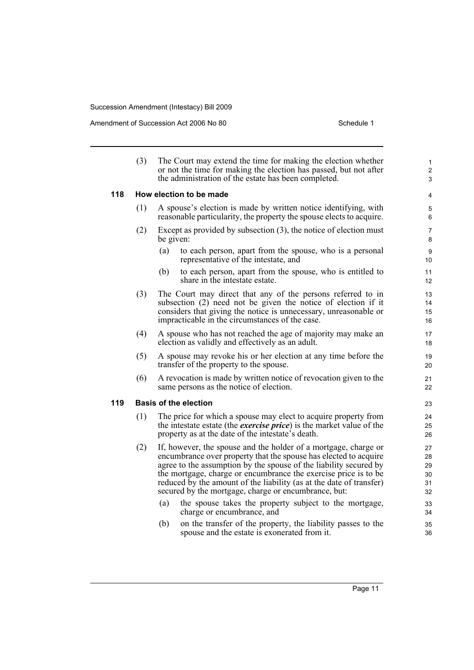|     | (3) | The Court may extend the time for making the election whether<br>or not the time for making the election has passed, but not after<br>the administration of the estate has been completed.                                                                                                                                                                                                                 | $\mathbf{1}$<br>$\overline{2}$<br>3 |
|-----|-----|------------------------------------------------------------------------------------------------------------------------------------------------------------------------------------------------------------------------------------------------------------------------------------------------------------------------------------------------------------------------------------------------------------|-------------------------------------|
| 118 |     | How election to be made                                                                                                                                                                                                                                                                                                                                                                                    | 4                                   |
|     | (1) | A spouse's election is made by written notice identifying, with<br>reasonable particularity, the property the spouse elects to acquire.                                                                                                                                                                                                                                                                    | 5<br>6                              |
|     | (2) | Except as provided by subsection $(3)$ , the notice of election must<br>be given:                                                                                                                                                                                                                                                                                                                          | 7<br>8                              |
|     |     | (a)<br>to each person, apart from the spouse, who is a personal<br>representative of the intestate, and                                                                                                                                                                                                                                                                                                    | 9<br>10                             |
|     |     | (b)<br>to each person, apart from the spouse, who is entitled to<br>share in the intestate estate.                                                                                                                                                                                                                                                                                                         | 11<br>12                            |
|     | (3) | The Court may direct that any of the persons referred to in<br>subsection (2) need not be given the notice of election if it<br>considers that giving the notice is unnecessary, unreasonable or<br>impracticable in the circumstances of the case.                                                                                                                                                        | 13<br>14<br>15<br>16                |
|     | (4) | A spouse who has not reached the age of majority may make an<br>election as validly and effectively as an adult.                                                                                                                                                                                                                                                                                           | 17<br>18                            |
|     | (5) | A spouse may revoke his or her election at any time before the<br>transfer of the property to the spouse.                                                                                                                                                                                                                                                                                                  | 19<br>20                            |
|     | (6) | A revocation is made by written notice of revocation given to the<br>same persons as the notice of election.                                                                                                                                                                                                                                                                                               | 21<br>22                            |
| 119 |     | <b>Basis of the election</b>                                                                                                                                                                                                                                                                                                                                                                               | 23                                  |
|     | (1) | The price for which a spouse may elect to acquire property from<br>the intestate estate (the <i>exercise price</i> ) is the market value of the<br>property as at the date of the intestate's death.                                                                                                                                                                                                       | 24<br>25<br>26                      |
|     | (2) | If, however, the spouse and the holder of a mortgage, charge or<br>encumbrance over property that the spouse has elected to acquire<br>agree to the assumption by the spouse of the liability secured by<br>the mortgage, charge or encumbrance the exercise price is to be<br>reduced by the amount of the liability (as at the date of transfer)<br>secured by the mortgage, charge or encumbrance, but: | 27<br>28<br>29<br>30<br>31<br>32    |
|     |     | (a)<br>the spouse takes the property subject to the mortgage,<br>charge or encumbrance, and                                                                                                                                                                                                                                                                                                                | 33<br>34                            |
|     |     | on the transfer of the property, the liability passes to the<br>(b)<br>spouse and the estate is exonerated from it.                                                                                                                                                                                                                                                                                        | 35<br>36                            |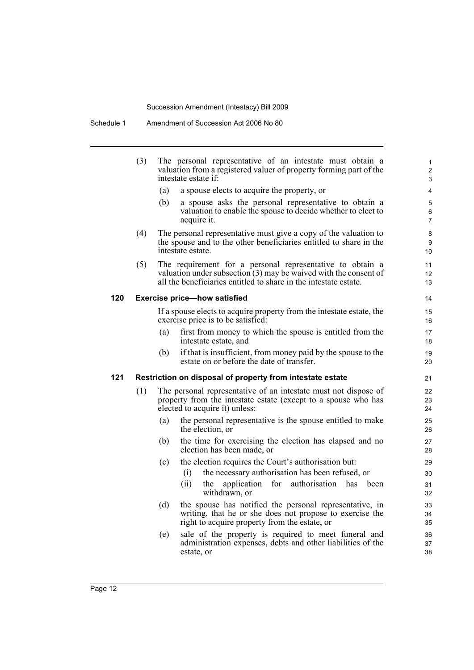|     | (3) | The personal representative of an intestate must obtain a<br>valuation from a registered valuer of property forming part of the<br>intestate estate if:                                                | $\mathbf{1}$<br>$\overline{2}$<br>3 |
|-----|-----|--------------------------------------------------------------------------------------------------------------------------------------------------------------------------------------------------------|-------------------------------------|
|     |     | (a)<br>a spouse elects to acquire the property, or                                                                                                                                                     | 4                                   |
|     |     | (b)<br>a spouse asks the personal representative to obtain a<br>valuation to enable the spouse to decide whether to elect to<br>acquire it.                                                            | 5<br>6<br>$\overline{7}$            |
|     | (4) | The personal representative must give a copy of the valuation to<br>the spouse and to the other beneficiaries entitled to share in the<br>intestate estate.                                            | 8<br>9<br>10                        |
|     | (5) | The requirement for a personal representative to obtain a<br>valuation under subsection $(3)$ may be waived with the consent of<br>all the beneficiaries entitled to share in the intestate estate.    | 11<br>12<br>13                      |
| 120 |     | <b>Exercise price-how satisfied</b>                                                                                                                                                                    | 14                                  |
|     |     | If a spouse elects to acquire property from the intestate estate, the<br>exercise price is to be satisfied:                                                                                            | 15<br>16                            |
|     |     | first from money to which the spouse is entitled from the<br>(a)<br>intestate estate, and                                                                                                              | 17<br>18                            |
|     |     | if that is insufficient, from money paid by the spouse to the<br>(b)<br>estate on or before the date of transfer.                                                                                      | 19<br>20                            |
| 121 |     | Restriction on disposal of property from intestate estate                                                                                                                                              | 21                                  |
|     | (1) | The personal representative of an intestate must not dispose of<br>property from the intestate estate (except to a spouse who has<br>elected to acquire it) unless:                                    | 22<br>23<br>24                      |
|     |     | the personal representative is the spouse entitled to make<br>(a)<br>the election, or                                                                                                                  | 25<br>26                            |
|     |     | the time for exercising the election has elapsed and no<br>(b)<br>election has been made, or                                                                                                           | 27<br>28                            |
|     |     | the election requires the Court's authorisation but:<br>(c)<br>the necessary authorisation has been refused, or<br>(1)<br>for authorisation has<br>(ii)<br>application<br>the<br>been<br>withdrawn, or | 29<br>30<br>31<br>32                |
|     |     | the spouse has notified the personal representative, in<br>(d)<br>writing, that he or she does not propose to exercise the<br>right to acquire property from the estate, or                            | 33<br>34<br>35                      |
|     |     | sale of the property is required to meet funeral and<br>(e)<br>administration expenses, debts and other liabilities of the<br>estate, or                                                               | 36<br>37<br>38                      |
|     |     |                                                                                                                                                                                                        |                                     |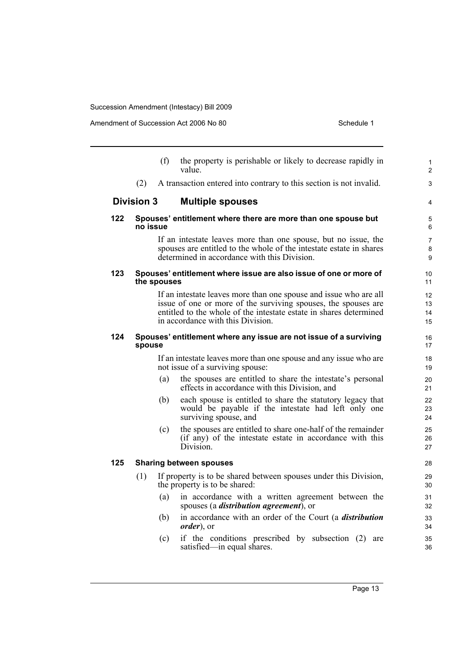|     |                   | (f)         | the property is perishable or likely to decrease rapidly in<br>value                                                                                                                                                                           | 1<br>$\overline{2}$      |
|-----|-------------------|-------------|------------------------------------------------------------------------------------------------------------------------------------------------------------------------------------------------------------------------------------------------|--------------------------|
|     | (2)               |             | A transaction entered into contrary to this section is not invalid.                                                                                                                                                                            | 3                        |
|     | <b>Division 3</b> |             | <b>Multiple spouses</b>                                                                                                                                                                                                                        | 4                        |
| 122 | no issue          |             | Spouses' entitlement where there are more than one spouse but                                                                                                                                                                                  | 5<br>6                   |
|     |                   |             | If an intestate leaves more than one spouse, but no issue, the<br>spouses are entitled to the whole of the intestate estate in shares<br>determined in accordance with this Division.                                                          | $\overline{7}$<br>8<br>9 |
| 123 |                   | the spouses | Spouses' entitlement where issue are also issue of one or more of                                                                                                                                                                              | 10 <sup>°</sup><br>11    |
|     |                   |             | If an intestate leaves more than one spouse and issue who are all<br>issue of one or more of the surviving spouses, the spouses are<br>entitled to the whole of the intestate estate in shares determined<br>in accordance with this Division. | 12<br>13<br>14<br>15     |
| 124 | spouse            |             | Spouses' entitlement where any issue are not issue of a surviving                                                                                                                                                                              | 16<br>17                 |
|     |                   |             | If an intestate leaves more than one spouse and any issue who are<br>not issue of a surviving spouse:                                                                                                                                          | 18<br>19                 |
|     |                   | (a)         | the spouses are entitled to share the intestate's personal<br>effects in accordance with this Division, and                                                                                                                                    | 20<br>21                 |
|     |                   | (b)         | each spouse is entitled to share the statutory legacy that<br>would be payable if the intestate had left only one<br>surviving spouse, and                                                                                                     | 22<br>23<br>24           |
|     |                   | (c)         | the spouses are entitled to share one-half of the remainder<br>(if any) of the intestate estate in accordance with this<br>Division.                                                                                                           | 25<br>26<br>27           |
| 125 |                   |             | <b>Sharing between spouses</b>                                                                                                                                                                                                                 | 28                       |
|     | (1)               |             | If property is to be shared between spouses under this Division,<br>the property is to be shared:                                                                                                                                              | 29<br>30                 |
|     |                   | (a)         | in accordance with a written agreement between the<br>spouses (a <i>distribution agreement</i> ), or                                                                                                                                           | 31<br>32                 |
|     |                   | (b)         | in accordance with an order of the Court (a <i>distribution</i><br><i>order</i> ), or                                                                                                                                                          | 33<br>34                 |
|     |                   | (c)         | if the conditions prescribed by subsection (2) are<br>satisfied—in equal shares.                                                                                                                                                               | 35<br>36                 |
|     |                   |             |                                                                                                                                                                                                                                                |                          |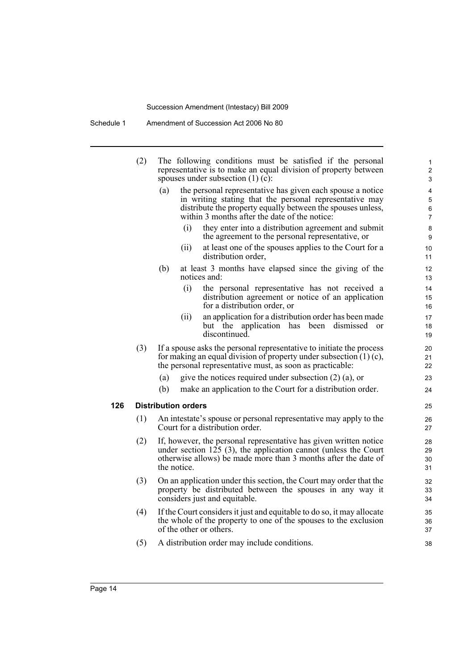Schedule 1 Amendment of Succession Act 2006 No 80

l,

|     | (2) |     |                            | The following conditions must be satisfied if the personal<br>representative is to make an equal division of property between<br>spouses under subsection $(1)$ $(c)$ :                                                               | 1<br>$\overline{c}$<br>3      |
|-----|-----|-----|----------------------------|---------------------------------------------------------------------------------------------------------------------------------------------------------------------------------------------------------------------------------------|-------------------------------|
|     |     | (a) |                            | the personal representative has given each spouse a notice<br>in writing stating that the personal representative may<br>distribute the property equally between the spouses unless,<br>within 3 months after the date of the notice: | 4<br>5<br>6<br>$\overline{7}$ |
|     |     |     | (i)                        | they enter into a distribution agreement and submit<br>the agreement to the personal representative, or                                                                                                                               | 8<br>9                        |
|     |     |     | (ii)                       | at least one of the spouses applies to the Court for a<br>distribution order,                                                                                                                                                         | 10<br>11                      |
|     |     | (b) |                            | at least 3 months have elapsed since the giving of the<br>notices and:                                                                                                                                                                | 12<br>13                      |
|     |     |     | (i)                        | the personal representative has not received a<br>distribution agreement or notice of an application<br>for a distribution order, or                                                                                                  | 14<br>15<br>16                |
|     |     |     | (ii)                       | an application for a distribution order has been made<br>but the application has been dismissed<br><sub>or</sub><br>discontinued.                                                                                                     | 17<br>18<br>19                |
|     | (3) |     |                            | If a spouse asks the personal representative to initiate the process<br>for making an equal division of property under subsection $(1)$ (c),<br>the personal representative must, as soon as practicable:                             | 20<br>21<br>22                |
|     |     | (a) |                            | give the notices required under subsection $(2)$ $(a)$ , or                                                                                                                                                                           | 23                            |
|     |     | (b) |                            | make an application to the Court for a distribution order.                                                                                                                                                                            | 24                            |
| 126 |     |     | <b>Distribution orders</b> |                                                                                                                                                                                                                                       | 25                            |
|     | (1) |     |                            | An intestate's spouse or personal representative may apply to the<br>Court for a distribution order.                                                                                                                                  | 26<br>27                      |
|     | (2) |     | the notice.                | If, however, the personal representative has given written notice<br>under section $125$ (3), the application cannot (unless the Court<br>otherwise allows) be made more than 3 months after the date of                              | 28<br>29<br>30<br>31          |
|     | (3) |     |                            | On an application under this section, the Court may order that the<br>property be distributed between the spouses in any way it<br>considers just and equitable.                                                                      | 32<br>33<br>34                |
|     | (4) |     |                            | If the Court considers it just and equitable to do so, it may allocate<br>the whole of the property to one of the spouses to the exclusion<br>of the other or others.                                                                 | 35<br>36<br>37                |
|     | (5) |     |                            | A distribution order may include conditions.                                                                                                                                                                                          | 38                            |
|     |     |     |                            |                                                                                                                                                                                                                                       |                               |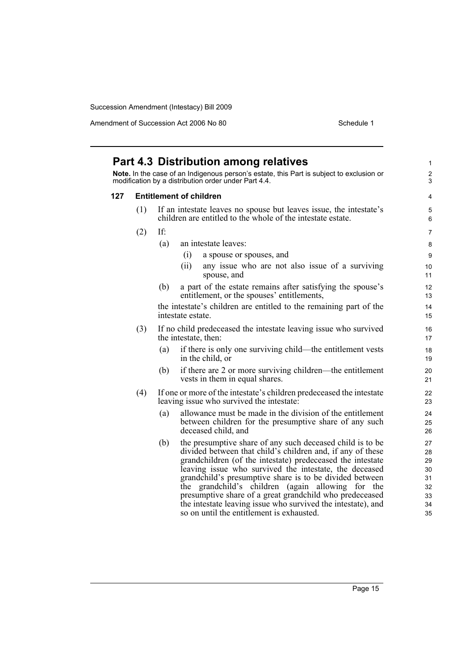|     |                                | Note. In the case of an Indigenous person's estate, this Part is subject to exclusion or<br>modification by a distribution order under Part 4.4.                                             | $\overline{c}$<br>$\mathfrak{S}$ |  |  |
|-----|--------------------------------|----------------------------------------------------------------------------------------------------------------------------------------------------------------------------------------------|----------------------------------|--|--|
| 127 | <b>Entitlement of children</b> |                                                                                                                                                                                              |                                  |  |  |
|     | (1)                            | If an intestate leaves no spouse but leaves issue, the intestate's<br>children are entitled to the whole of the intestate estate.                                                            | 5<br>6                           |  |  |
|     | (2)                            | If:                                                                                                                                                                                          | $\overline{7}$                   |  |  |
|     |                                | (a)<br>an intestate leaves:                                                                                                                                                                  | 8                                |  |  |
|     |                                | (i)<br>a spouse or spouses, and                                                                                                                                                              | $\boldsymbol{9}$                 |  |  |
|     |                                | (ii)<br>any issue who are not also issue of a surviving<br>spouse, and                                                                                                                       | 10<br>11                         |  |  |
|     |                                | a part of the estate remains after satisfying the spouse's<br>(b)<br>entitlement, or the spouses' entitlements,                                                                              | 12<br>13                         |  |  |
|     |                                | the intestate's children are entitled to the remaining part of the<br>intestate estate.                                                                                                      | 14<br>15                         |  |  |
|     | (3)                            | If no child predeceased the intestate leaving issue who survived<br>the intestate, then:                                                                                                     | 16<br>17                         |  |  |
|     |                                | if there is only one surviving child—the entitlement vests<br>(a)<br>in the child, or                                                                                                        | 18<br>19                         |  |  |
|     |                                | if there are 2 or more surviving children—the entitlement<br>(b)<br>vests in them in equal shares.                                                                                           | 20<br>21                         |  |  |
|     | (4)                            | If one or more of the intestate's children predeceased the intestate<br>leaving issue who survived the intestate:                                                                            | 22<br>23                         |  |  |
|     |                                | allowance must be made in the division of the entitlement<br>(a)<br>between children for the presumptive share of any such<br>deceased child, and                                            | 24<br>25<br>26                   |  |  |
|     |                                | the presumptive share of any such deceased child is to be<br>(b)<br>divided between that child's children and, if any of these<br>grandchildren (of the intestate) predeceased the intestate | 27<br>28<br>29                   |  |  |
|     |                                | leaving issue who survived the intestate, the deceased                                                                                                                                       | 30                               |  |  |
|     |                                | grandchild's presumptive share is to be divided between<br>the grandchild's children (again allowing for the                                                                                 | 31<br>32                         |  |  |
|     |                                | presumptive share of a great grandchild who predeceased                                                                                                                                      | 33                               |  |  |
|     |                                | the intestate leaving issue who survived the intestate), and                                                                                                                                 | 34                               |  |  |
|     |                                | so on until the entitlement is exhausted.                                                                                                                                                    | 35                               |  |  |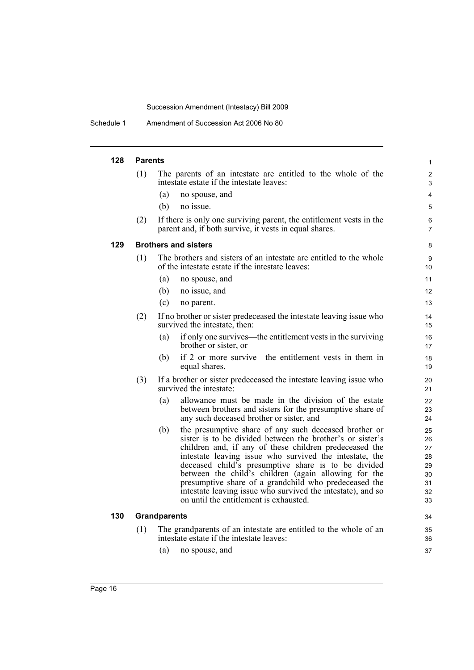Schedule 1 Amendment of Succession Act 2006 No 80

#### **128 Parents**

| 128 | <b>Parents</b> |                                                                                                                                                                                                                                                                                                                                                                                                                                                                                                                                 | 1                                                  |
|-----|----------------|---------------------------------------------------------------------------------------------------------------------------------------------------------------------------------------------------------------------------------------------------------------------------------------------------------------------------------------------------------------------------------------------------------------------------------------------------------------------------------------------------------------------------------|----------------------------------------------------|
|     | (1)            | The parents of an intestate are entitled to the whole of the<br>intestate estate if the intestate leaves:                                                                                                                                                                                                                                                                                                                                                                                                                       | $\overline{2}$<br>3                                |
|     |                | (a)<br>no spouse, and                                                                                                                                                                                                                                                                                                                                                                                                                                                                                                           | $\overline{4}$                                     |
|     |                | (b)<br>no issue.                                                                                                                                                                                                                                                                                                                                                                                                                                                                                                                | 5                                                  |
|     | (2)            | If there is only one surviving parent, the entitlement vests in the<br>parent and, if both survive, it vests in equal shares.                                                                                                                                                                                                                                                                                                                                                                                                   | 6<br>$\overline{7}$                                |
| 129 |                | <b>Brothers and sisters</b>                                                                                                                                                                                                                                                                                                                                                                                                                                                                                                     | 8                                                  |
|     | (1)            | The brothers and sisters of an intestate are entitled to the whole<br>of the intestate estate if the intestate leaves:                                                                                                                                                                                                                                                                                                                                                                                                          | 9<br>10 <sup>1</sup>                               |
|     |                | no spouse, and<br>(a)                                                                                                                                                                                                                                                                                                                                                                                                                                                                                                           | 11                                                 |
|     |                | (b)<br>no issue, and                                                                                                                                                                                                                                                                                                                                                                                                                                                                                                            | 12                                                 |
|     |                | (c)<br>no parent.                                                                                                                                                                                                                                                                                                                                                                                                                                                                                                               | 13                                                 |
|     | (2)            | If no brother or sister predeceased the intestate leaving issue who<br>survived the intestate, then:                                                                                                                                                                                                                                                                                                                                                                                                                            | 14<br>15                                           |
|     |                | if only one survives—the entitlement vests in the surviving<br>(a)<br>brother or sister, or                                                                                                                                                                                                                                                                                                                                                                                                                                     | 16<br>17                                           |
|     |                | if 2 or more survive—the entitlement vests in them in<br>(b)<br>equal shares.                                                                                                                                                                                                                                                                                                                                                                                                                                                   | 18<br>19                                           |
|     | (3)            | If a brother or sister predeceased the intestate leaving issue who<br>survived the intestate:                                                                                                                                                                                                                                                                                                                                                                                                                                   | 20<br>21                                           |
|     |                | allowance must be made in the division of the estate<br>(a)<br>between brothers and sisters for the presumptive share of<br>any such deceased brother or sister, and                                                                                                                                                                                                                                                                                                                                                            | 22<br>23<br>24                                     |
|     |                | the presumptive share of any such deceased brother or<br>(b)<br>sister is to be divided between the brother's or sister's<br>children and, if any of these children predeceased the<br>intestate leaving issue who survived the intestate, the<br>deceased child's presumptive share is to be divided<br>between the child's children (again allowing for the<br>presumptive share of a grandchild who predeceased the<br>intestate leaving issue who survived the intestate), and so<br>on until the entitlement is exhausted. | 25<br>26<br>27<br>28<br>29<br>30<br>31<br>32<br>33 |
| 130 |                | <b>Grandparents</b>                                                                                                                                                                                                                                                                                                                                                                                                                                                                                                             | 34                                                 |
|     | (1)            | The grandparents of an intestate are entitled to the whole of an                                                                                                                                                                                                                                                                                                                                                                                                                                                                | 35                                                 |
|     |                | intestate estate if the intestate leaves:                                                                                                                                                                                                                                                                                                                                                                                                                                                                                       | 36                                                 |
|     |                | (a)<br>no spouse, and                                                                                                                                                                                                                                                                                                                                                                                                                                                                                                           | 37                                                 |
|     |                |                                                                                                                                                                                                                                                                                                                                                                                                                                                                                                                                 |                                                    |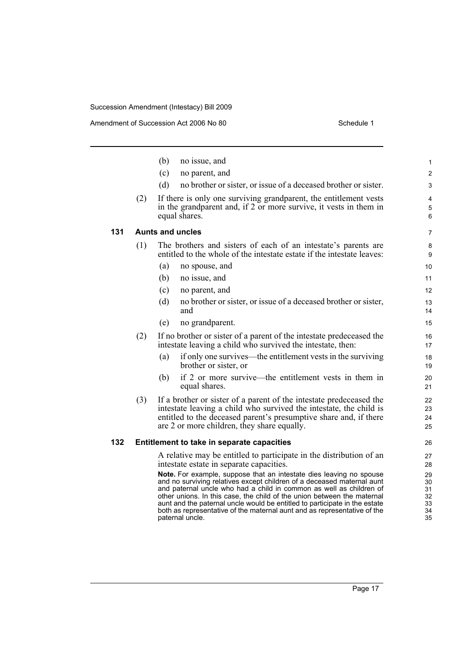Amendment of Succession Act 2006 No 80 Schedule 1

|     |     | (b) | no issue, and                                                                                                                                                                                                                                                                                                                                                                 | $\mathbf{1}$               |
|-----|-----|-----|-------------------------------------------------------------------------------------------------------------------------------------------------------------------------------------------------------------------------------------------------------------------------------------------------------------------------------------------------------------------------------|----------------------------|
|     |     | (c) | no parent, and                                                                                                                                                                                                                                                                                                                                                                | $\overline{2}$             |
|     |     | (d) | no brother or sister, or issue of a deceased brother or sister.                                                                                                                                                                                                                                                                                                               | 3                          |
|     | (2) |     | If there is only one surviving grandparent, the entitlement vests<br>in the grandparent and, if 2 or more survive, it vests in them in<br>equal shares.                                                                                                                                                                                                                       | 4<br>5<br>6                |
| 131 |     |     | <b>Aunts and uncles</b>                                                                                                                                                                                                                                                                                                                                                       | 7                          |
|     | (1) |     | The brothers and sisters of each of an intestate's parents are<br>entitled to the whole of the intestate estate if the intestate leaves:                                                                                                                                                                                                                                      | 8<br>9                     |
|     |     | (a) | no spouse, and                                                                                                                                                                                                                                                                                                                                                                | 10                         |
|     |     | (b) | no issue, and                                                                                                                                                                                                                                                                                                                                                                 | 11                         |
|     |     | (c) | no parent, and                                                                                                                                                                                                                                                                                                                                                                | $12 \overline{ }$          |
|     |     | (d) | no brother or sister, or issue of a deceased brother or sister,<br>and                                                                                                                                                                                                                                                                                                        | 13<br>14                   |
|     |     | (e) | no grandparent.                                                                                                                                                                                                                                                                                                                                                               | 15                         |
|     | (2) |     | If no brother or sister of a parent of the intestate predeceased the<br>intestate leaving a child who survived the intestate, then:                                                                                                                                                                                                                                           | 16<br>17                   |
|     |     | (a) | if only one survives—the entitlement vests in the surviving<br>brother or sister, or                                                                                                                                                                                                                                                                                          | 18<br>19                   |
|     |     | (b) | if 2 or more survive—the entitlement vests in them in<br>equal shares.                                                                                                                                                                                                                                                                                                        | 20<br>21                   |
|     | (3) |     | If a brother or sister of a parent of the intestate predeceased the<br>intestate leaving a child who survived the intestate, the child is<br>entitled to the deceased parent's presumptive share and, if there<br>are 2 or more children, they share equally.                                                                                                                 | 22<br>23<br>24<br>25       |
| 132 |     |     | Entitlement to take in separate capacities                                                                                                                                                                                                                                                                                                                                    | 26                         |
|     |     |     | A relative may be entitled to participate in the distribution of an<br>intestate estate in separate capacities.                                                                                                                                                                                                                                                               | 27<br>28                   |
|     |     |     | Note. For example, suppose that an intestate dies leaving no spouse<br>and no surviving relatives except children of a deceased maternal aunt<br>and paternal uncle who had a child in common as well as children of<br>other unions. In this case, the child of the union between the maternal<br>aunt and the paternal uncle would be entitled to participate in the estate | 29<br>30<br>31<br>32<br>33 |

both as representative of the maternal aunt and as representative of the

paternal uncle.

34 35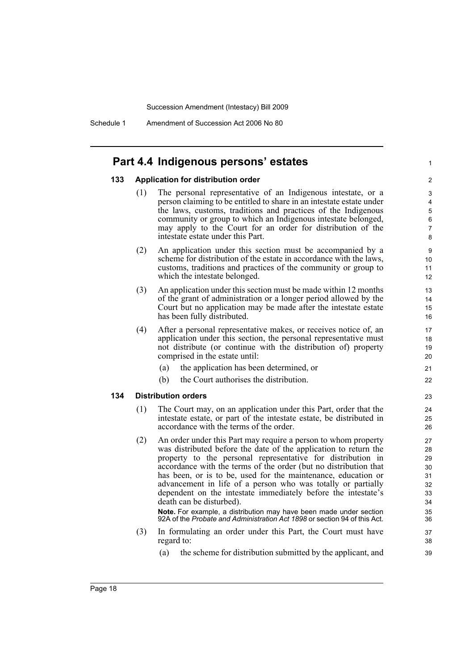Schedule 1 Amendment of Succession Act 2006 No 80

#### **Part 4.4 Indigenous persons' estates**

#### **133 Application for distribution order**

(1) The personal representative of an Indigenous intestate, or a person claiming to be entitled to share in an intestate estate under the laws, customs, traditions and practices of the Indigenous community or group to which an Indigenous intestate belonged, may apply to the Court for an order for distribution of the intestate estate under this Part.

1

- (2) An application under this section must be accompanied by a scheme for distribution of the estate in accordance with the laws. customs, traditions and practices of the community or group to which the intestate belonged.
- (3) An application under this section must be made within 12 months of the grant of administration or a longer period allowed by the Court but no application may be made after the intestate estate has been fully distributed.
- (4) After a personal representative makes, or receives notice of, an application under this section, the personal representative must not distribute (or continue with the distribution of) property comprised in the estate until:
	- (a) the application has been determined, or
	- (b) the Court authorises the distribution.

#### **134 Distribution orders**

- (1) The Court may, on an application under this Part, order that the intestate estate, or part of the intestate estate, be distributed in accordance with the terms of the order.
- (2) An order under this Part may require a person to whom property was distributed before the date of the application to return the property to the personal representative for distribution in accordance with the terms of the order (but no distribution that has been, or is to be, used for the maintenance, education or advancement in life of a person who was totally or partially dependent on the intestate immediately before the intestate's death can be disturbed).

**Note.** For example, a distribution may have been made under section 92A of the *Probate and Administration Act 1898* or section 94 of this Act.

- (3) In formulating an order under this Part, the Court must have regard to:
	- (a) the scheme for distribution submitted by the applicant, and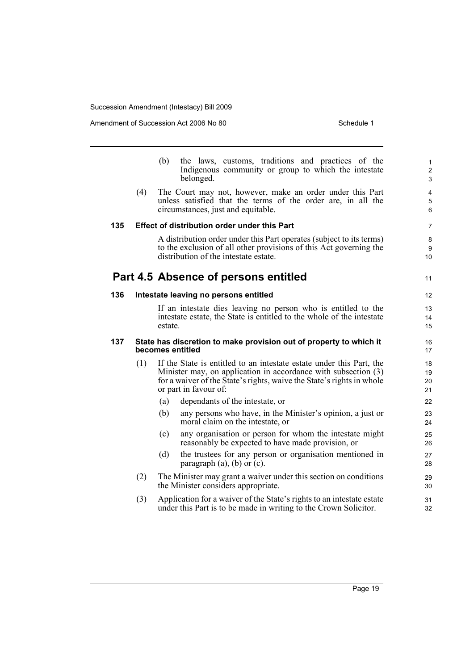|     |     | the laws, customs, traditions and practices of the<br>(b)<br>Indigenous community or group to which the intestate<br>belonged.                                                                                                           | $\mathbf 1$<br>$\overline{2}$<br>3 |
|-----|-----|------------------------------------------------------------------------------------------------------------------------------------------------------------------------------------------------------------------------------------------|------------------------------------|
|     | (4) | The Court may not, however, make an order under this Part<br>unless satisfied that the terms of the order are, in all the<br>circumstances, just and equitable.                                                                          | 4<br>5<br>6                        |
| 135 |     | Effect of distribution order under this Part                                                                                                                                                                                             | $\overline{7}$                     |
|     |     | A distribution order under this Part operates (subject to its terms)<br>to the exclusion of all other provisions of this Act governing the<br>distribution of the intestate estate.                                                      | 8<br>9<br>10                       |
|     |     | Part 4.5 Absence of persons entitled                                                                                                                                                                                                     | 11                                 |
| 136 |     | Intestate leaving no persons entitled                                                                                                                                                                                                    | 12                                 |
|     |     | If an intestate dies leaving no person who is entitled to the<br>intestate estate, the State is entitled to the whole of the intestate<br>estate.                                                                                        | 13<br>14<br>15                     |
| 137 |     | State has discretion to make provision out of property to which it<br>becomes entitled                                                                                                                                                   | 16<br>17                           |
|     | (1) | If the State is entitled to an intestate estate under this Part, the<br>Minister may, on application in accordance with subsection (3)<br>for a waiver of the State's rights, waive the State's rights in whole<br>or part in favour of: | 18<br>19<br>20<br>21               |
|     |     | (a)<br>dependants of the intestate, or                                                                                                                                                                                                   | 22                                 |
|     |     | (b)<br>any persons who have, in the Minister's opinion, a just or<br>moral claim on the intestate, or                                                                                                                                    | 23<br>24                           |
|     |     | any organisation or person for whom the intestate might<br>(c)<br>reasonably be expected to have made provision, or                                                                                                                      | 25<br>26                           |
|     |     | (d)<br>the trustees for any person or organisation mentioned in<br>paragraph $(a)$ , $(b)$ or $(c)$ .                                                                                                                                    | 27<br>28                           |
|     | (2) | The Minister may grant a waiver under this section on conditions<br>the Minister considers appropriate.                                                                                                                                  | 29<br>30                           |
|     | (3) | Application for a waiver of the State's rights to an intestate estate<br>under this Part is to be made in writing to the Crown Solicitor.                                                                                                | 31<br>32                           |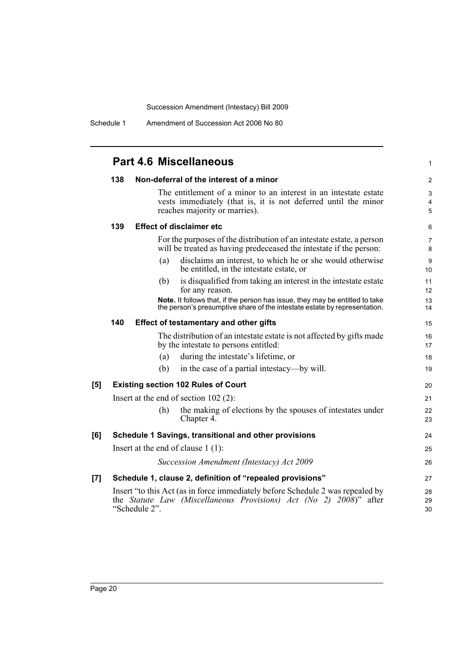Schedule 1 Amendment of Succession Act 2006 No 80

|     |     |                                               | <b>Part 4.6 Miscellaneous</b>                                                                                                                                       | $\mathbf{1}$        |
|-----|-----|-----------------------------------------------|---------------------------------------------------------------------------------------------------------------------------------------------------------------------|---------------------|
|     | 138 |                                               | Non-deferral of the interest of a minor                                                                                                                             | 2                   |
|     |     |                                               | The entitlement of a minor to an interest in an intestate estate<br>vests immediately (that is, it is not deferred until the minor<br>reaches majority or marries). | 3<br>4<br>5         |
|     | 139 |                                               | <b>Effect of disclaimer etc</b>                                                                                                                                     | 6                   |
|     |     |                                               | For the purposes of the distribution of an intestate estate, a person<br>will be treated as having predeceased the intestate if the person:                         | $\overline{7}$<br>8 |
|     |     | (a)                                           | disclaims an interest, to which he or she would otherwise<br>be entitled, in the intestate estate, or                                                               | 9<br>10             |
|     |     | (b)                                           | is disqualified from taking an interest in the intestate estate<br>for any reason.                                                                                  | 11<br>12            |
|     |     |                                               | Note. It follows that, if the person has issue, they may be entitled to take<br>the person's presumptive share of the intestate estate by representation.           | 13<br>14            |
|     | 140 | <b>Effect of testamentary and other gifts</b> |                                                                                                                                                                     | 15                  |
|     |     |                                               | The distribution of an intestate estate is not affected by gifts made<br>by the intestate to persons entitled:                                                      | 16<br>17            |
|     |     | (a)                                           | during the intestate's lifetime, or                                                                                                                                 | 18                  |
|     |     | (b)                                           | in the case of a partial intestacy—by will.                                                                                                                         | 19                  |
| [5] |     |                                               | <b>Existing section 102 Rules of Court</b>                                                                                                                          | 20                  |
|     |     |                                               | Insert at the end of section $102$ (2):                                                                                                                             | 21                  |
|     |     | (h)                                           | the making of elections by the spouses of intestates under<br>Chapter 4.                                                                                            | 22<br>23            |
| [6] |     |                                               | Schedule 1 Savings, transitional and other provisions                                                                                                               | 24                  |
|     |     |                                               | Insert at the end of clause $1(1)$ :                                                                                                                                | 25                  |
|     |     |                                               | Succession Amendment (Intestacy) Act 2009                                                                                                                           | 26                  |
| [7] |     |                                               | Schedule 1, clause 2, definition of "repealed provisions"                                                                                                           | 27                  |
|     |     | "Schedule 2".                                 | Insert "to this Act (as in force immediately before Schedule 2 was repealed by<br>the Statute Law (Miscellaneous Provisions) Act (No 2) $2008$ )" after             | 28<br>29<br>30      |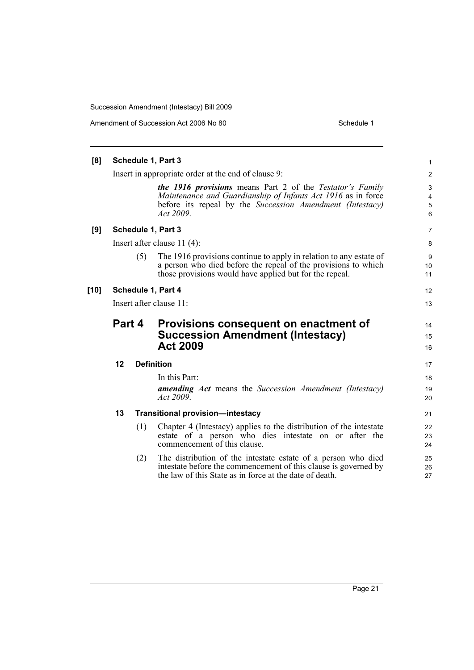| [8]  |                         |     | Schedule 1, Part 3                                                                                                                                                                                         | $\mathbf{1}$               |  |
|------|-------------------------|-----|------------------------------------------------------------------------------------------------------------------------------------------------------------------------------------------------------------|----------------------------|--|
|      |                         |     | Insert in appropriate order at the end of clause 9:                                                                                                                                                        | $\overline{2}$             |  |
|      |                         |     | <b>the 1916 provisions</b> means Part 2 of the Testator's Family<br>Maintenance and Guardianship of Infants Act 1916 as in force<br>before its repeal by the Succession Amendment (Intestacy)<br>Act 2009. | 3<br>4<br>5<br>6           |  |
| [9]  |                         |     | Schedule 1, Part 3                                                                                                                                                                                         | $\overline{7}$             |  |
|      |                         |     | Insert after clause $11(4)$ :                                                                                                                                                                              | 8                          |  |
|      |                         | (5) | The 1916 provisions continue to apply in relation to any estate of<br>a person who died before the repeal of the provisions to which<br>those provisions would have applied but for the repeal.            | 9<br>10 <sup>°</sup><br>11 |  |
| [10] |                         |     | Schedule 1, Part 4                                                                                                                                                                                         | 12                         |  |
|      | Insert after clause 11: |     |                                                                                                                                                                                                            |                            |  |
|      | <b>Part 4</b>           |     | Provisions consequent on enactment of<br><b>Succession Amendment (Intestacy)</b><br><b>Act 2009</b>                                                                                                        | 14<br>15<br>16             |  |
|      | 12                      |     | <b>Definition</b>                                                                                                                                                                                          | 17                         |  |
|      |                         |     | In this Part:<br><b>amending Act</b> means the Succession Amendment (Intestacy)<br>Act 2009.                                                                                                               | 18<br>19<br>20             |  |
|      | 13                      |     | <b>Transitional provision-intestacy</b>                                                                                                                                                                    | 21                         |  |
|      |                         | (1) | Chapter 4 (Intestacy) applies to the distribution of the intestate<br>estate of a person who dies intestate on or after the<br>commencement of this clause.                                                | 22<br>23<br>24             |  |
|      |                         | (2) | The distribution of the intestate estate of a person who died<br>intestate before the commencement of this clause is governed by<br>the law of this State as in force at the date of death.                | 25<br>26<br>27             |  |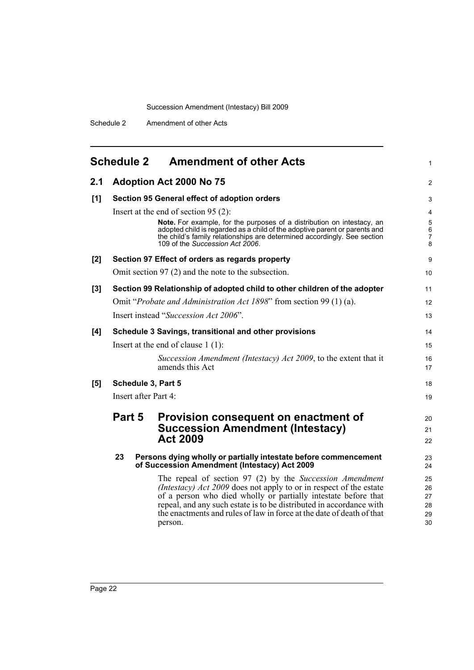<span id="page-29-0"></span>

|     | <b>Schedule 2</b>    | <b>Amendment of other Acts</b>                                                                                                                                                                                                                                                                                                                              | 1                                                    |
|-----|----------------------|-------------------------------------------------------------------------------------------------------------------------------------------------------------------------------------------------------------------------------------------------------------------------------------------------------------------------------------------------------------|------------------------------------------------------|
| 2.1 |                      | <b>Adoption Act 2000 No 75</b>                                                                                                                                                                                                                                                                                                                              | 2                                                    |
| [1] |                      | Section 95 General effect of adoption orders                                                                                                                                                                                                                                                                                                                | 3                                                    |
|     |                      | Insert at the end of section $95(2)$ :                                                                                                                                                                                                                                                                                                                      | $\overline{4}$                                       |
|     |                      | Note. For example, for the purposes of a distribution on intestacy, an<br>adopted child is regarded as a child of the adoptive parent or parents and<br>the child's family relationships are determined accordingly. See section<br>109 of the Succession Act 2006.                                                                                         | $\overline{5}$<br>6<br>$\overline{\mathcal{I}}$<br>8 |
| [2] |                      | Section 97 Effect of orders as regards property                                                                                                                                                                                                                                                                                                             | 9                                                    |
|     |                      | Omit section $97(2)$ and the note to the subsection.                                                                                                                                                                                                                                                                                                        | 10                                                   |
| [3] |                      | Section 99 Relationship of adopted child to other children of the adopter                                                                                                                                                                                                                                                                                   | 11                                                   |
|     |                      | Omit "Probate and Administration Act 1898" from section 99 (1) (a).                                                                                                                                                                                                                                                                                         | 12                                                   |
|     |                      | Insert instead "Succession Act 2006".                                                                                                                                                                                                                                                                                                                       | 13                                                   |
| [4] |                      | Schedule 3 Savings, transitional and other provisions                                                                                                                                                                                                                                                                                                       | 14                                                   |
|     |                      | Insert at the end of clause $1(1)$ :                                                                                                                                                                                                                                                                                                                        | 15                                                   |
|     |                      | Succession Amendment (Intestacy) Act 2009, to the extent that it<br>amends this Act                                                                                                                                                                                                                                                                         | 16<br>17                                             |
| [5] | Schedule 3, Part 5   |                                                                                                                                                                                                                                                                                                                                                             | 18                                                   |
|     | Insert after Part 4: |                                                                                                                                                                                                                                                                                                                                                             | 19                                                   |
|     | Part 5               | Provision consequent on enactment of                                                                                                                                                                                                                                                                                                                        | 20                                                   |
|     |                      | <b>Succession Amendment (Intestacy)</b>                                                                                                                                                                                                                                                                                                                     | 21                                                   |
|     |                      | <b>Act 2009</b>                                                                                                                                                                                                                                                                                                                                             | 22                                                   |
|     | 23                   | Persons dying wholly or partially intestate before commencement<br>of Succession Amendment (Intestacy) Act 2009                                                                                                                                                                                                                                             | 23<br>24                                             |
|     |                      | The repeal of section 97 (2) by the Succession Amendment<br>(Intestacy) Act 2009 does not apply to or in respect of the estate<br>of a person who died wholly or partially intestate before that<br>repeal, and any such estate is to be distributed in accordance with<br>the enactments and rules of law in force at the date of death of that<br>person. | 25<br>26<br>27<br>28<br>29<br>30                     |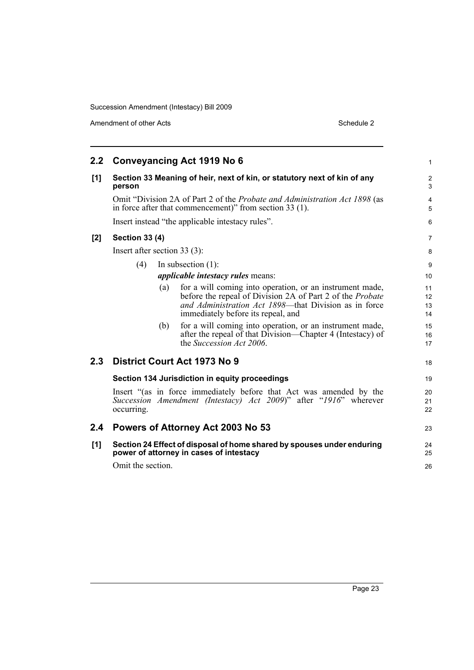Amendment of other Acts Schedule 2

| 2.2 <sub>2</sub> |                                |     | <b>Conveyancing Act 1919 No 6</b>                                                                                                                                                                                           | 1                    |
|------------------|--------------------------------|-----|-----------------------------------------------------------------------------------------------------------------------------------------------------------------------------------------------------------------------------|----------------------|
| [1]              | person                         |     | Section 33 Meaning of heir, next of kin, or statutory next of kin of any                                                                                                                                                    | $\overline{2}$<br>3  |
|                  |                                |     | Omit "Division 2A of Part 2 of the <i>Probate and Administration Act 1898</i> (as<br>in force after that commencement)" from section 33 (1).                                                                                | 4<br>5               |
|                  |                                |     | Insert instead "the applicable intestacy rules".                                                                                                                                                                            | 6                    |
| [2]              | <b>Section 33 (4)</b>          |     |                                                                                                                                                                                                                             | $\overline{7}$       |
|                  | Insert after section $33(3)$ : |     |                                                                                                                                                                                                                             | 8                    |
|                  | (4)                            |     | In subsection $(1)$ :<br><i>applicable intestacy rules means:</i>                                                                                                                                                           | 9<br>10              |
|                  |                                | (a) | for a will coming into operation, or an instrument made,<br>before the repeal of Division 2A of Part 2 of the <i>Probate</i><br>and Administration Act 1898—that Division as in force<br>immediately before its repeal, and | 11<br>12<br>13<br>14 |
|                  |                                | (b) | for a will coming into operation, or an instrument made,<br>after the repeal of that Division-Chapter 4 (Intestacy) of<br>the <i>Succession Act 2006</i> .                                                                  | 15<br>16<br>17       |
| 2.3              |                                |     | District Court Act 1973 No 9                                                                                                                                                                                                | 18                   |
|                  |                                |     | Section 134 Jurisdiction in equity proceedings                                                                                                                                                                              | 19                   |
|                  | occurring.                     |     | Insert "(as in force immediately before that Act was amended by the<br>Succession Amendment (Intestacy) Act 2009)" after "1916" wherever                                                                                    | 20<br>21<br>22       |
| 2.4              |                                |     | Powers of Attorney Act 2003 No 53                                                                                                                                                                                           | 23                   |
| [1]              | Omit the section.              |     | Section 24 Effect of disposal of home shared by spouses under enduring<br>power of attorney in cases of intestacy                                                                                                           | 24<br>25<br>26       |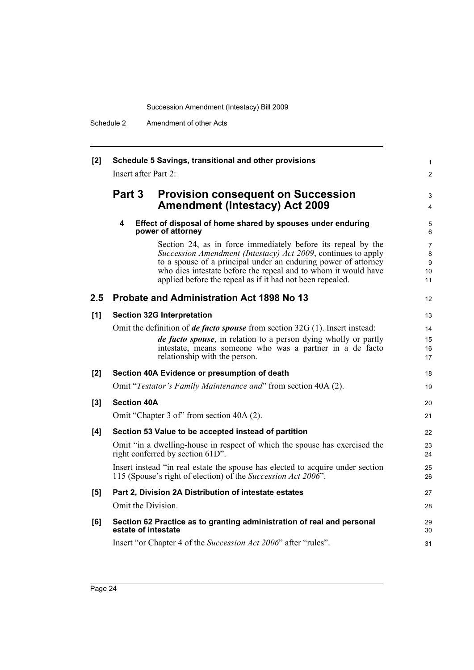| [2] | Schedule 5 Savings, transitional and other provisions<br>Insert after Part 2: |                                                                                                                                                                                                                                                                                                                                |                         |  |  |
|-----|-------------------------------------------------------------------------------|--------------------------------------------------------------------------------------------------------------------------------------------------------------------------------------------------------------------------------------------------------------------------------------------------------------------------------|-------------------------|--|--|
|     |                                                                               |                                                                                                                                                                                                                                                                                                                                |                         |  |  |
|     | Part 3                                                                        | <b>Provision consequent on Succession</b><br><b>Amendment (Intestacy) Act 2009</b>                                                                                                                                                                                                                                             | 3<br>4                  |  |  |
|     | 4                                                                             | Effect of disposal of home shared by spouses under enduring<br>power of attorney                                                                                                                                                                                                                                               | 5<br>6                  |  |  |
|     |                                                                               | Section 24, as in force immediately before its repeal by the<br>Succession Amendment (Intestacy) Act 2009, continues to apply<br>to a spouse of a principal under an enduring power of attorney<br>who dies intestate before the repeal and to whom it would have<br>applied before the repeal as if it had not been repealed. | 7<br>8<br>9<br>10<br>11 |  |  |
| 2.5 |                                                                               | <b>Probate and Administration Act 1898 No 13</b>                                                                                                                                                                                                                                                                               | 12                      |  |  |
| [1] |                                                                               | <b>Section 32G Interpretation</b>                                                                                                                                                                                                                                                                                              | 13                      |  |  |
|     |                                                                               | Omit the definition of <i>de facto spouse</i> from section $32G(1)$ . Insert instead:                                                                                                                                                                                                                                          | 14                      |  |  |
|     |                                                                               | de facto spouse, in relation to a person dying wholly or partly<br>intestate, means someone who was a partner in a de facto<br>relationship with the person.                                                                                                                                                                   | 15<br>16<br>17          |  |  |
| [2] |                                                                               | Section 40A Evidence or presumption of death                                                                                                                                                                                                                                                                                   | 18                      |  |  |
|     |                                                                               | Omit "Testator's Family Maintenance and" from section 40A (2).                                                                                                                                                                                                                                                                 | 19                      |  |  |
| [3] | <b>Section 40A</b>                                                            |                                                                                                                                                                                                                                                                                                                                | 20                      |  |  |
|     |                                                                               | Omit "Chapter 3 of" from section 40A (2).                                                                                                                                                                                                                                                                                      | 21                      |  |  |
| [4] |                                                                               | Section 53 Value to be accepted instead of partition                                                                                                                                                                                                                                                                           | 22                      |  |  |
|     |                                                                               | Omit "in a dwelling-house in respect of which the spouse has exercised the<br>right conferred by section 61D".                                                                                                                                                                                                                 | 23<br>24                |  |  |
|     |                                                                               | Insert instead "in real estate the spouse has elected to acquire under section<br>115 (Spouse's right of election) of the Succession Act 2006".                                                                                                                                                                                | 25<br>26                |  |  |
| [5] |                                                                               | Part 2, Division 2A Distribution of intestate estates                                                                                                                                                                                                                                                                          | 27                      |  |  |
|     | Omit the Division.                                                            |                                                                                                                                                                                                                                                                                                                                | 28                      |  |  |
| [6] | estate of intestate                                                           | Section 62 Practice as to granting administration of real and personal                                                                                                                                                                                                                                                         | 29<br>30                |  |  |
|     |                                                                               | Insert "or Chapter 4 of the Succession Act 2006" after "rules".                                                                                                                                                                                                                                                                | 31                      |  |  |
|     |                                                                               |                                                                                                                                                                                                                                                                                                                                |                         |  |  |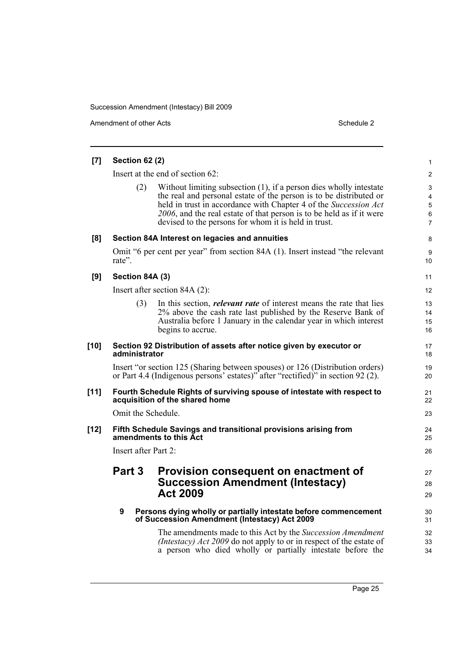Amendment of other Acts Schedule 2

| [7]    | <b>Section 62 (2)</b> |                                                                                                                                                                                                                                                                                                                                              | $\mathbf{1}$                                    |
|--------|-----------------------|----------------------------------------------------------------------------------------------------------------------------------------------------------------------------------------------------------------------------------------------------------------------------------------------------------------------------------------------|-------------------------------------------------|
|        |                       | Insert at the end of section 62:                                                                                                                                                                                                                                                                                                             | 2                                               |
|        | (2)                   | Without limiting subsection (1), if a person dies wholly intestate<br>the real and personal estate of the person is to be distributed or<br>held in trust in accordance with Chapter 4 of the Succession Act<br>2006, and the real estate of that person is to be held as if it were<br>devised to the persons for whom it is held in trust. | 3<br>$\overline{4}$<br>5<br>6<br>$\overline{7}$ |
| [8]    |                       | Section 84A Interest on legacies and annuities                                                                                                                                                                                                                                                                                               | 8                                               |
|        | rate".                | Omit "6 per cent per year" from section 84A (1). Insert instead "the relevant                                                                                                                                                                                                                                                                | 9<br>10                                         |
| [9]    | Section 84A (3)       |                                                                                                                                                                                                                                                                                                                                              | 11                                              |
|        |                       | Insert after section 84A (2):                                                                                                                                                                                                                                                                                                                | 12                                              |
|        | (3)                   | In this section, <i>relevant rate</i> of interest means the rate that lies<br>2% above the cash rate last published by the Reserve Bank of<br>Australia before 1 January in the calendar year in which interest<br>begins to accrue.                                                                                                         | 13<br>14<br>15<br>16                            |
| $[10]$ | administrator         | Section 92 Distribution of assets after notice given by executor or                                                                                                                                                                                                                                                                          | 17<br>18                                        |
|        |                       | Insert "or section 125 (Sharing between spouses) or 126 (Distribution orders)<br>or Part 4.4 (Indigenous persons' estates)" after "rectified)" in section 92 (2).                                                                                                                                                                            | 19<br>20                                        |
| $[11]$ |                       | Fourth Schedule Rights of surviving spouse of intestate with respect to<br>acquisition of the shared home                                                                                                                                                                                                                                    | 21<br>22                                        |
|        | Omit the Schedule.    |                                                                                                                                                                                                                                                                                                                                              | 23                                              |
| $[12]$ |                       | Fifth Schedule Savings and transitional provisions arising from<br>amendments to this Act                                                                                                                                                                                                                                                    | 24<br>25                                        |
|        | Insert after Part 2:  |                                                                                                                                                                                                                                                                                                                                              | 26                                              |
|        | Part 3                | Provision consequent on enactment of                                                                                                                                                                                                                                                                                                         | 27                                              |
|        |                       | <b>Succession Amendment (Intestacy)</b>                                                                                                                                                                                                                                                                                                      | 28                                              |
|        |                       | <b>Act 2009</b>                                                                                                                                                                                                                                                                                                                              | 29                                              |
|        | 9                     | Persons dying wholly or partially intestate before commencement<br>of Succession Amendment (Intestacy) Act 2009                                                                                                                                                                                                                              | 30<br>31                                        |
|        |                       | The amendments made to this Act by the Succession Amendment                                                                                                                                                                                                                                                                                  | 32                                              |
|        |                       | (Intestacy) Act 2009 do not apply to or in respect of the estate of<br>a person who died wholly or partially intestate before the                                                                                                                                                                                                            | 33<br>34                                        |